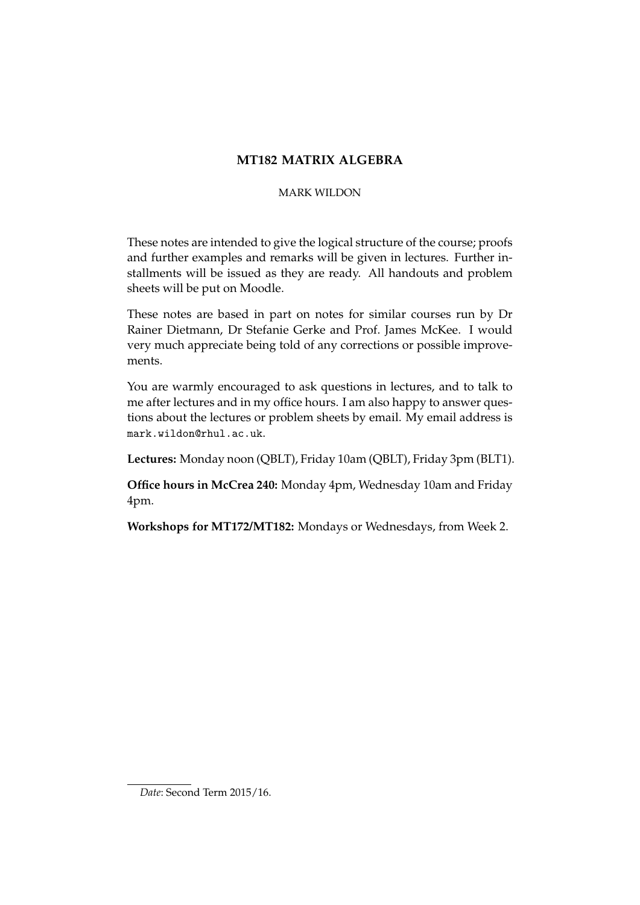# **MT182 MATRIX ALGEBRA**

### MARK WILDON

These notes are intended to give the logical structure of the course; proofs and further examples and remarks will be given in lectures. Further installments will be issued as they are ready. All handouts and problem sheets will be put on Moodle.

These notes are based in part on notes for similar courses run by Dr Rainer Dietmann, Dr Stefanie Gerke and Prof. James McKee. I would very much appreciate being told of any corrections or possible improvements.

You are warmly encouraged to ask questions in lectures, and to talk to me after lectures and in my office hours. I am also happy to answer questions about the lectures or problem sheets by email. My email address is mark.wildon@rhul.ac.uk.

**Lectures:** Monday noon (QBLT), Friday 10am (QBLT), Friday 3pm (BLT1).

**Office hours in McCrea 240:** Monday 4pm, Wednesday 10am and Friday 4pm.

**Workshops for MT172/MT182:** Mondays or Wednesdays, from Week 2.

*Date*: Second Term 2015/16.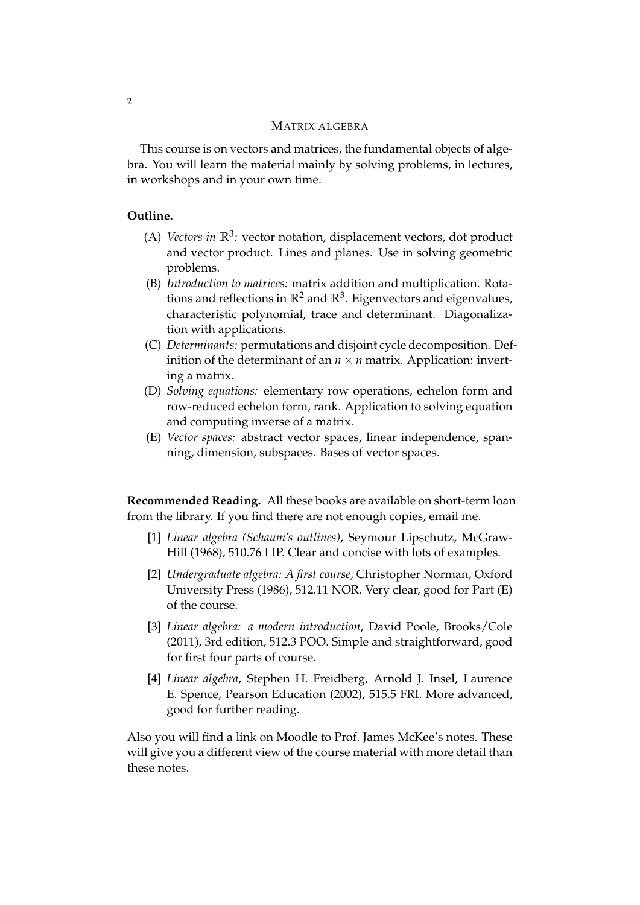### MATRIX ALGEBRA

This course is on vectors and matrices, the fundamental objects of algebra. You will learn the material mainly by solving problems, in lectures, in workshops and in your own time.

### **Outline.**

- (A) *Vectors in*  $\mathbb{R}^3$ : vector notation, displacement vectors, dot product and vector product. Lines and planes. Use in solving geometric problems.
- (B) *Introduction to matrices:* matrix addition and multiplication. Rotations and reflections in  $\mathbb{R}^2$  and  $\mathbb{R}^3$ . Eigenvectors and eigenvalues, characteristic polynomial, trace and determinant. Diagonalization with applications.
- (C) *Determinants:* permutations and disjoint cycle decomposition. Definition of the determinant of an  $n \times n$  matrix. Application: inverting a matrix.
- (D) *Solving equations:* elementary row operations, echelon form and row-reduced echelon form, rank. Application to solving equation and computing inverse of a matrix.
- (E) *Vector spaces:* abstract vector spaces, linear independence, spanning, dimension, subspaces. Bases of vector spaces.

**Recommended Reading.** All these books are available on short-term loan from the library. If you find there are not enough copies, email me.

- [1] *Linear algebra (Schaum's outlines)*, Seymour Lipschutz, McGraw-Hill (1968), 510.76 LIP. Clear and concise with lots of examples.
- [2] *Undergraduate algebra: A first course*, Christopher Norman, Oxford University Press (1986), 512.11 NOR. Very clear, good for Part (E) of the course.
- [3] *Linear algebra: a modern introduction*, David Poole, Brooks/Cole (2011), 3rd edition, 512.3 POO. Simple and straightforward, good for first four parts of course.
- [4] *Linear algebra*, Stephen H. Freidberg, Arnold J. Insel, Laurence E. Spence, Pearson Education (2002), 515.5 FRI. More advanced, good for further reading.

Also you will find a link on Moodle to Prof. James McKee's notes. These will give you a different view of the course material with more detail than these notes.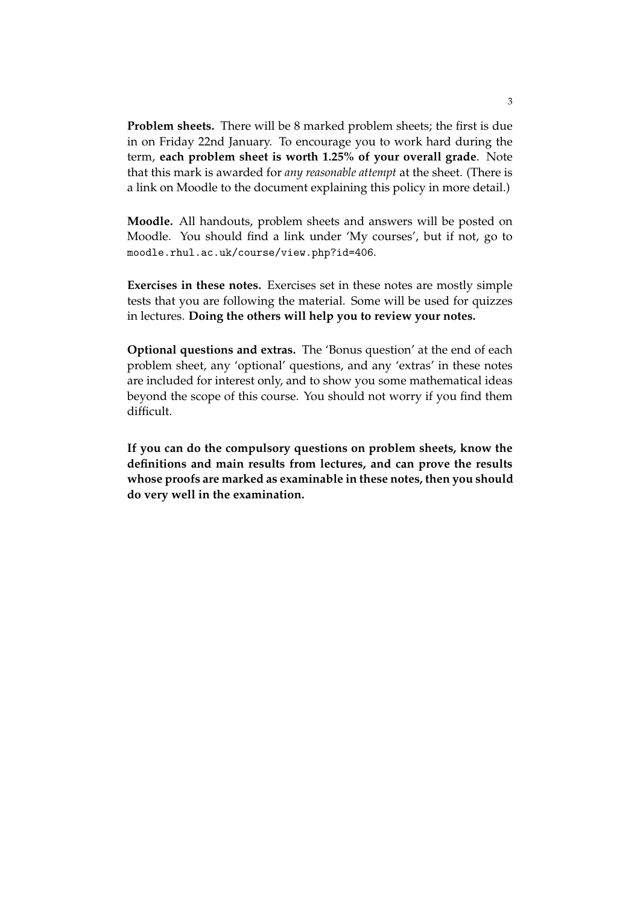**Problem sheets.** There will be 8 marked problem sheets; the first is due in on Friday 22nd January. To encourage you to work hard during the term, **each problem sheet is worth 1.25% of your overall grade**. Note that this mark is awarded for *any reasonable attempt* at the sheet. (There is a link on Moodle to the document explaining this policy in more detail.)

**Moodle.** All handouts, problem sheets and answers will be posted on Moodle. You should find a link under 'My courses', but if not, go to moodle.rhul.ac.uk/course/view.php?id=406.

**Exercises in these notes.** Exercises set in these notes are mostly simple tests that you are following the material. Some will be used for quizzes in lectures. **Doing the others will help you to review your notes.**

**Optional questions and extras.** The 'Bonus question' at the end of each problem sheet, any 'optional' questions, and any 'extras' in these notes are included for interest only, and to show you some mathematical ideas beyond the scope of this course. You should not worry if you find them difficult.

**If you can do the compulsory questions on problem sheets, know the definitions and main results from lectures, and can prove the results whose proofs are marked as examinable in these notes, then you should do very well in the examination.**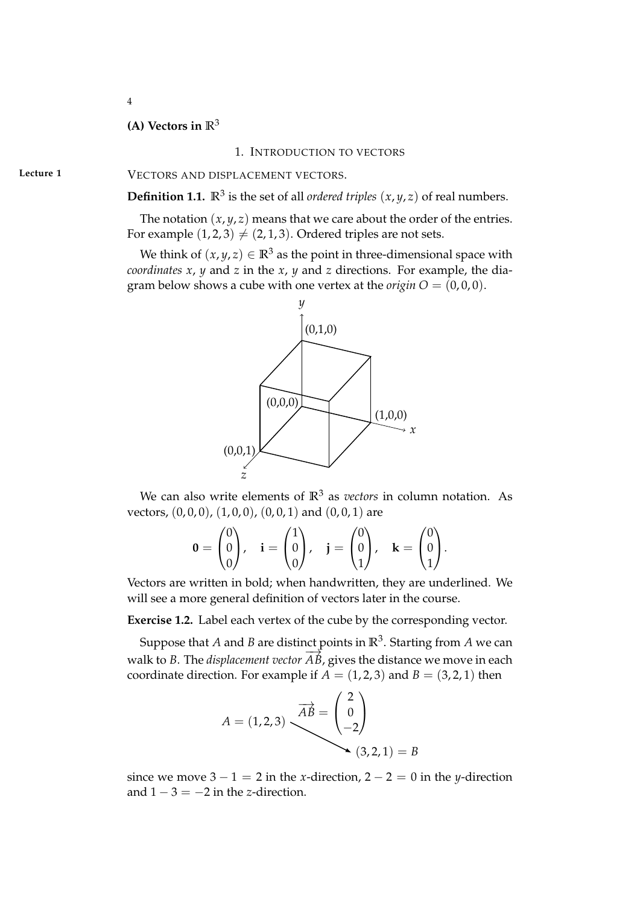# 4

# **(A) Vectors in R**<sup>3</sup>

### 1. INTRODUCTION TO VECTORS

Lecture 1 **VECTORS AND DISPLACEMENT VECTORS.** 

**Definition 1.1.**  $\mathbb{R}^3$  is the set of all *ordered triples*  $(x, y, z)$  of real numbers.

The notation  $(x, y, z)$  means that we care about the order of the entries. For example  $(1, 2, 3) \neq (2, 1, 3)$ . Ordered triples are not sets.

We think of  $(x, y, z) \in \mathbb{R}^3$  as the point in three-dimensional space with *coordinates x*, *y* and *z* in the *x*, *y* and *z* directions. For example, the diagram below shows a cube with one vertex at the *origin*  $O = (0, 0, 0)$ .



We can also write elements of  $\mathbb{R}^3$  as *vectors* in column notation. As vectors,  $(0,0,0)$ ,  $(1,0,0)$ ,  $(0,0,1)$  and  $(0,0,1)$  are

$$
\mathbf{0} = \begin{pmatrix} 0 \\ 0 \\ 0 \end{pmatrix}, \quad \mathbf{i} = \begin{pmatrix} 1 \\ 0 \\ 0 \end{pmatrix}, \quad \mathbf{j} = \begin{pmatrix} 0 \\ 0 \\ 1 \end{pmatrix}, \quad \mathbf{k} = \begin{pmatrix} 0 \\ 0 \\ 1 \end{pmatrix}.
$$

Vectors are written in bold; when handwritten, they are underlined. We will see a more general definition of vectors later in the course.

**Exercise 1.2.** Label each vertex of the cube by the corresponding vector.

Suppose that  $A$  and  $B$  are distinct points in  $\mathbb{R}^3$ . Starting from  $A$  we can walk to *B*. The *displacement vector AB*, gives the distance we move in each coordinate direction. For example if  $A = (1, 2, 3)$  and  $B = (3, 2, 1)$  then

$$
A = (1,2,3)
$$

$$
\overrightarrow{AB} = \begin{pmatrix} 2 \\ 0 \\ -2 \end{pmatrix}
$$

$$
(3,2,1) = B
$$

since we move  $3 - 1 = 2$  in the *x*-direction,  $2 - 2 = 0$  in the *y*-direction and  $1 - 3 = -2$  in the *z*-direction.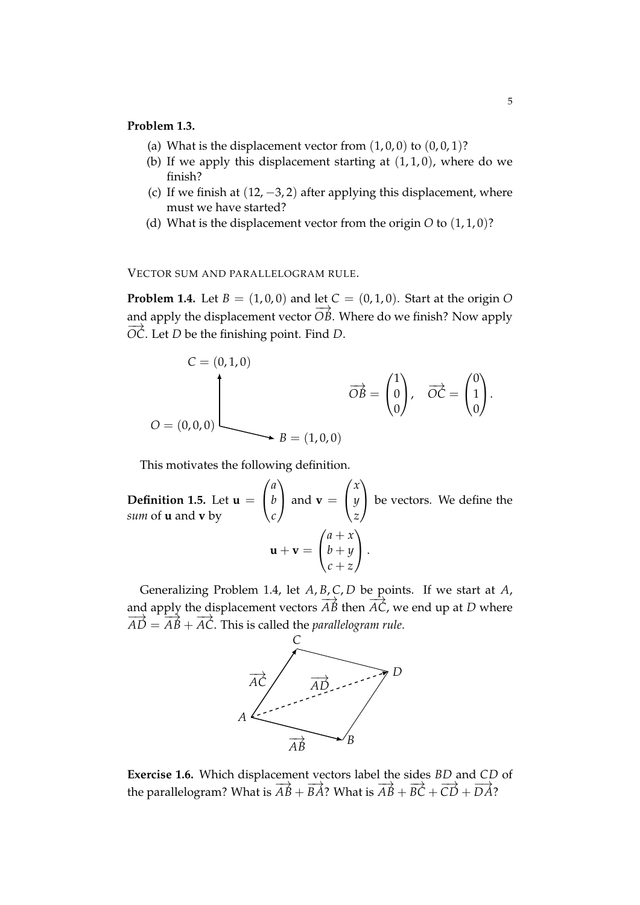### **Problem 1.3.**

- (a) What is the displacement vector from  $(1, 0, 0)$  to  $(0, 0, 1)$ ?
- (b) If we apply this displacement starting at  $(1, 1, 0)$ , where do we finish?
- (c) If we finish at  $(12, -3, 2)$  after applying this displacement, where must we have started?
- (d) What is the displacement vector from the origin *O* to (1, 1, 0)?

VECTOR SUM AND PARALLELOGRAM RULE.

**Problem 1.4.** Let  $B = (1, 0, 0)$  and let  $C = (0, 1, 0)$ . Start at the origin O and apply the displacement vector  $\overrightarrow{OB}$ . Where do we finish? Now apply  $\overrightarrow{OC}$ . Let *D* be the finishing point. Find *D*.

$$
C = (0, 1, 0)
$$

$$
\overrightarrow{OB} = \begin{pmatrix} 1 \\ 0 \\ 0 \end{pmatrix}, \quad \overrightarrow{OC} = \begin{pmatrix} 0 \\ 1 \\ 0 \end{pmatrix}.
$$

$$
O = (0, 0, 0)
$$

$$
B = (1, 0, 0)
$$

This motivates the following definition.

**Definition 1.5.** Let **u** =  $\sqrt{ }$  $\mathbf{I}$ *a b c*  $\overline{ }$  $\int$  and **v** =  $\sqrt{ }$  $\overline{1}$ *x y z*  $\setminus$  be vectors. We define the *sum* of **u** and **v** by  $\mathbf{u} + \mathbf{v} =$  $\sqrt{ }$  $\overline{1}$ *a* + *x b* + *y c* + *z*  $\setminus$  $\vert \cdot$ 

Generalizing Problem 1.4, let *A*, *B*, *C*, *D* be points. If we start at *A*, and apply the displacement vectors  $\overrightarrow{AB}$  then  $\overrightarrow{AC}$ , we end up at *D* where  $\overrightarrow{AD} = \overrightarrow{AB} + \overrightarrow{AC}$ . This is called the *parallelogram rule*.



**Exercise 1.6.** Which displacement vectors label the sides *BD* and *CD* of the parallelogram? What is  $\overrightarrow{AB} + \overrightarrow{BA}$ ? What is  $\overrightarrow{AB} + \overrightarrow{BC} + \overrightarrow{CD} + \overrightarrow{DA}$ ?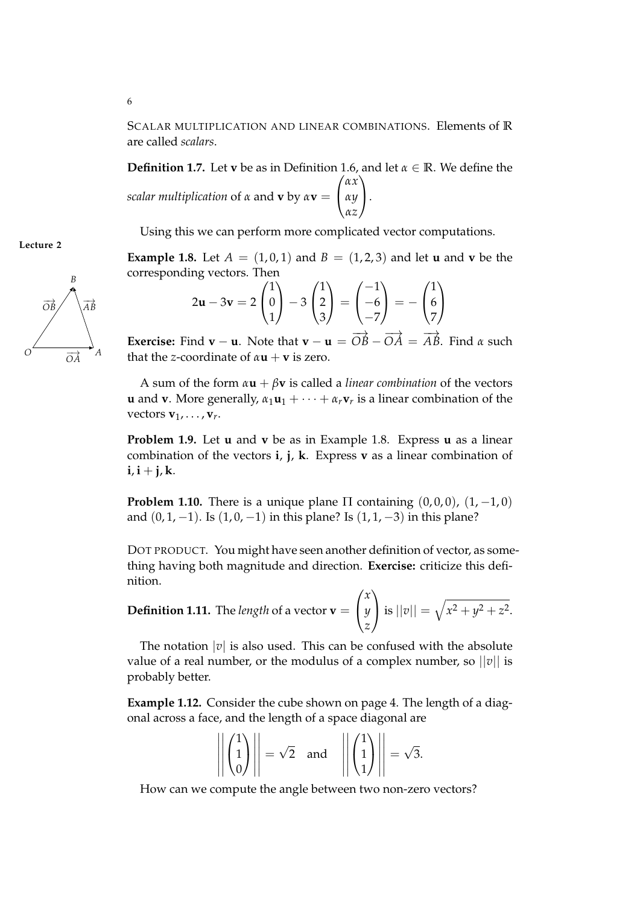SCALAR MULTIPLICATION AND LINEAR COMBINATIONS. Elements of **R** are called *scalars*.

**Definition 1.7.** Let **v** be as in Definition 1.6, and let *α* ∈ **R**. We define the *scalar multiplication* of *α* and **v** by *α***v** =  $\sqrt{ }$  $\overline{1}$ *αx αy αz*  $\setminus$  $\cdot$ 

Using this we can perform more complicated vector computations.

**Example 1.8.** Let  $A = (1, 0, 1)$  and  $B = (1, 2, 3)$  and let **u** and **v** be the corresponding vectors. Then

$$
2\mathbf{u} - 3\mathbf{v} = 2\begin{pmatrix} 1 \\ 0 \\ 1 \end{pmatrix} - 3\begin{pmatrix} 1 \\ 2 \\ 3 \end{pmatrix} = \begin{pmatrix} -1 \\ -6 \\ -7 \end{pmatrix} = -\begin{pmatrix} 1 \\ 6 \\ 7 \end{pmatrix}
$$

**Exercise:** Find **v** − **u**. Note that **v** − **u** =  $\overrightarrow{OB} - \overrightarrow{OA} = \overrightarrow{AB}$ . Find *α* such that the *z*-coordinate of  $\alpha$ **u** + **v** is zero.

A sum of the form  $\alpha$ **u** +  $\beta$ **v** is called a *linear combination* of the vectors **u** and **v**. More generally,  $\alpha_1 \mathbf{u}_1 + \cdots + \alpha_r \mathbf{v}_r$  is a linear combination of the vectors  $\mathbf{v}_1, \ldots, \mathbf{v}_r$ .

**Problem 1.9.** Let **u** and **v** be as in Example 1.8. Express **u** as a linear combination of the vectors **i**, **j**, **k**. Express **v** as a linear combination of  $i, i + j, k.$ 

**Problem 1.10.** There is a unique plane  $\Pi$  containing  $(0,0,0)$ ,  $(1,-1,0)$ and  $(0, 1, -1)$ . Is  $(1, 0, -1)$  in this plane? Is  $(1, 1, -3)$  in this plane?

DOT PRODUCT. You might have seen another definition of vector, as something having both magnitude and direction. **Exercise:** criticize this definition.

**Definition 1.11.** The *length* of a vector  $\mathbf{v} =$  $\sqrt{ }$  $\mathbf{I}$ *x y z*  $\setminus$ is  $||v|| = \sqrt{x^2 + y^2 + z^2}$ .

The notation  $|v|$  is also used. This can be confused with the absolute value of a real number, or the modulus of a complex number, so  $||v||$  is probably better.

**Example 1.12.** Consider the cube shown on page 4. The length of a diagonal across a face, and the length of a space diagonal are

$$
\left\| \begin{pmatrix} 1 \\ 1 \\ 0 \end{pmatrix} \right\| = \sqrt{2} \quad \text{and} \quad \left\| \begin{pmatrix} 1 \\ 1 \\ 1 \end{pmatrix} \right\| = \sqrt{3}.
$$

How can we compute the angle between two non-zero vectors?



**Lecture 2**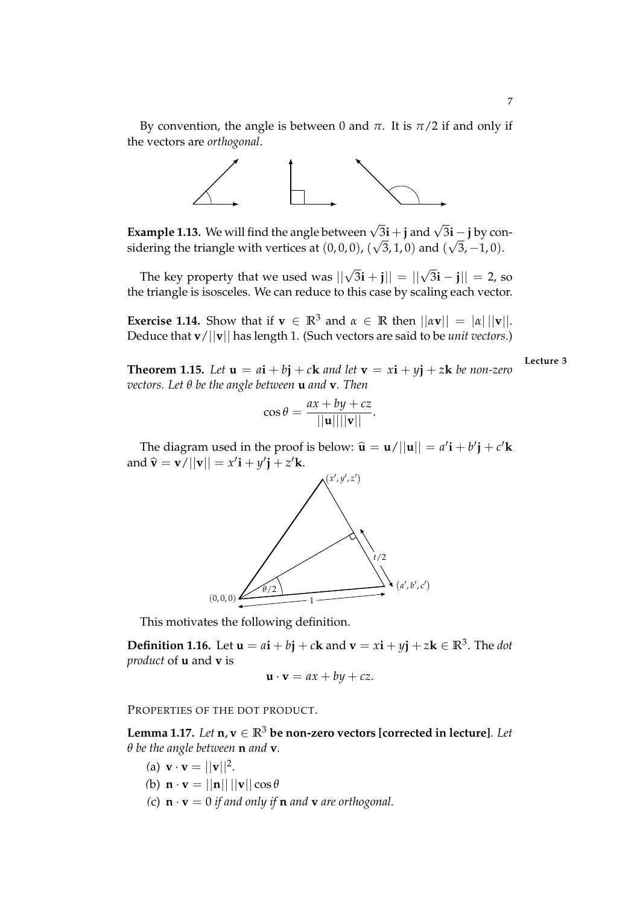

**Example 1.13.** We will find the angle between  $\sqrt{3}$ **i** + **j** and  $\sqrt{3}$ **i** - **j** by considering the triangle with vertices at  $(0,0,0)$ ,  $(\sqrt{3},1,0)$  and  $(\sqrt{3},-1,0)$ .

The key property that we used was  $||\sqrt{3}i + j|| = ||\sqrt{3}i - j|| = 2$ , so the triangle is isosceles. We can reduce to this case by scaling each vector.

**Exercise 1.14.** Show that if  $\mathbf{v} \in \mathbb{R}^3$  and  $\alpha \in \mathbb{R}$  then  $||\alpha \mathbf{v}|| = |\alpha| ||\mathbf{v}||$ . Deduce that **v**/||**v**|| has length 1. (Such vectors are said to be *unit vectors*.)

**Lecture 3**

**Theorem 1.15.** Let  $\mathbf{u} = a\mathbf{i} + b\mathbf{j} + c\mathbf{k}$  and let  $\mathbf{v} = x\mathbf{i} + y\mathbf{j} + z\mathbf{k}$  be non-zero *vectors. Let θ be the angle between* **u** *and* **v***. Then*

$$
\cos \theta = \frac{ax + by + cz}{||\mathbf{u}|| ||\mathbf{v}||}.
$$

The diagram used in the proof is below:  $\hat{\mathbf{u}} = \mathbf{u}/||\mathbf{u}|| = a'\mathbf{i} + b'\mathbf{j} + c'\mathbf{k}$ and  $\hat{\mathbf{v}} = \mathbf{v}/||\mathbf{v}|| = x'\mathbf{i} + y'\mathbf{j} + z'\mathbf{k}$ .



This motivates the following definition.

**Definition 1.16.** Let  $\mathbf{u} = a\mathbf{i} + b\mathbf{j} + c\mathbf{k}$  and  $\mathbf{v} = x\mathbf{i} + y\mathbf{j} + z\mathbf{k} \in \mathbb{R}^3$ . The *dot product* of **u** and **v** is

$$
\mathbf{u} \cdot \mathbf{v} = ax + by + cz.
$$

PROPERTIES OF THE DOT PRODUCT.

**Lemma 1.17.** *Let*  $\mathbf{n}, \mathbf{v} \in \mathbb{R}^3$  be non-zero vectors [corrected in lecture]. Let *θ be the angle between* **n** *and* **v***.*

- (a)  $\mathbf{v} \cdot \mathbf{v} = ||\mathbf{v}||^2$ .
- *(b)*  $\mathbf{n} \cdot \mathbf{v} = ||\mathbf{n}|| ||\mathbf{v}|| \cos \theta$
- *(c)*  $\mathbf{n} \cdot \mathbf{v} = 0$  *if and only if*  $\mathbf{n}$  *and*  $\mathbf{v}$  *are orthogonal.*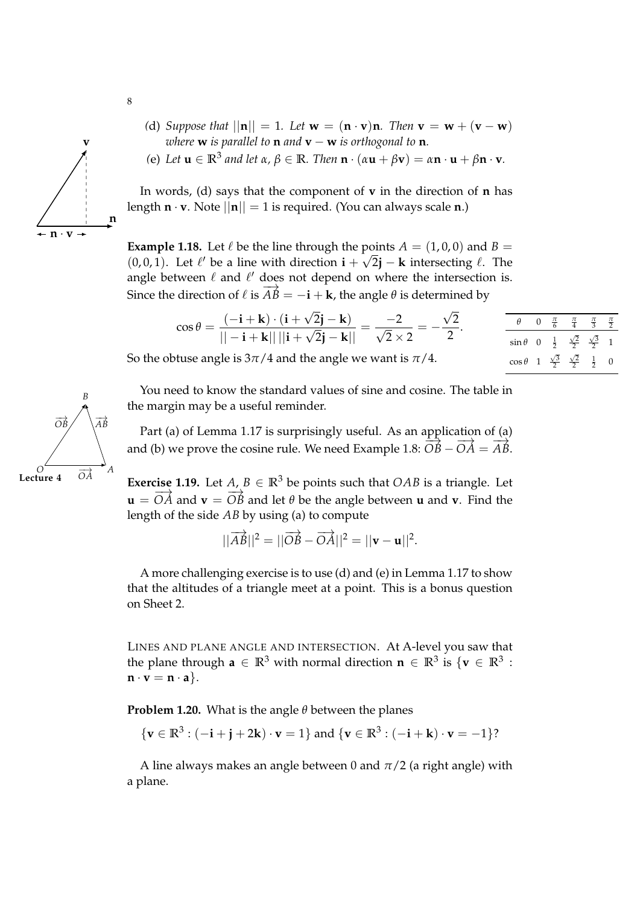

 $f(\mathbf{e})$  *Let*  $\mathbf{u} \in \mathbb{R}^3$  *and let*  $\alpha$ ,  $\beta \in \mathbb{R}$ *. Then*  $\mathbf{n} \cdot (\alpha \mathbf{u} + \beta \mathbf{v}) = \alpha \mathbf{n} \cdot \mathbf{u} + \beta \mathbf{n} \cdot \mathbf{v}$ *.* 

In words, (d) says that the component of **v** in the direction of **n** has length  $\mathbf{n} \cdot \mathbf{v}$ . Note  $||\mathbf{n}|| = 1$  is required. (You can always scale  $\mathbf{n}$ .)

**Example 1.18.** Let  $\ell$  be the line through the points  $A = (1, 0, 0)$  and  $B =$ (0,0,1). Let  $\ell'$  be a line with direction **i** +  $\sqrt{2}$ **j** − **k** intersecting  $\ell$ . The angle between  $\ell$  and  $\ell'$  does not depend on where the intersection is. Since the direction of  $\ell$  is  $\overrightarrow{AB} = -\mathbf{i} + \mathbf{k}$ , the angle  $\theta$  is determined by

$$
\cos \theta = \frac{(-\mathbf{i} + \mathbf{k}) \cdot (\mathbf{i} + \sqrt{2}\mathbf{j} - \mathbf{k})}{||-\mathbf{i} + \mathbf{k}|| ||\mathbf{i} + \sqrt{2}\mathbf{j} - \mathbf{k}||} = \frac{-2}{\sqrt{2} \times 2} = -\frac{\sqrt{2}}{2}.
$$
\nThus, the angle is  $3\pi/4$  and the angle we want is  $\pi/4$ .

\nwhere  $\sin \theta$  is  $\frac{1}{2} \frac{\sqrt{2}}{2} \frac{\sqrt{3}}{2} = 1$ .

So the obtuse angle is  $3\pi/4$  and the angle we want is  $\pi/4$ .

|               | ີ |  |  |
|---------------|---|--|--|
| $\sin \theta$ |   |  |  |
| $\cos \theta$ |   |  |  |
|               |   |  |  |

You need to know the standard values of sine and cosine. The table in the margin may be a useful reminder.

Part (a) of Lemma 1.17 is surprisingly useful. As an application of (a) and (b) we prove the cosine rule. We need Example 1.8:  $\overrightarrow{OB} - \overrightarrow{OA} = \overrightarrow{AB}$ .

**Lecture 4** OA Exercise 1.19. Let  $A, B \in \mathbb{R}^3$  be points such that OAB is a triangle. Let  $\mathbf{u} = \overrightarrow{OA}$  and  $\mathbf{v} = \overrightarrow{OB}$  and let  $\theta$  be the angle between  $\mathbf{u}$  and  $\mathbf{v}$ . Find the length of the side *AB* by using (a) to compute

 $||\overrightarrow{AB}||^2 = ||\overrightarrow{OB} - \overrightarrow{OA}||^2 = ||\mathbf{v} - \mathbf{u}||^2.$ 

A more challenging exercise is to use (d) and (e) in Lemma 1.17 to show that the altitudes of a triangle meet at a point. This is a bonus question on Sheet 2.

LINES AND PLANE ANGLE AND INTERSECTION. At A-level you saw that the plane through  $\mathbf{a} \in \mathbb{R}^3$  with normal direction  $\mathbf{n} \in \mathbb{R}^3$  is  $\{\mathbf{v} \in \mathbb{R}^3$  :  $\mathbf{n} \cdot \mathbf{v} = \mathbf{n} \cdot \mathbf{a}$ .

**Problem 1.20.** What is the angle *θ* between the planes

$$
\{ \mathbf{v} \in \mathbb{R}^3 : (-\mathbf{i} + \mathbf{j} + 2\mathbf{k}) \cdot \mathbf{v} = 1 \} \text{ and } \{ \mathbf{v} \in \mathbb{R}^3 : (-\mathbf{i} + \mathbf{k}) \cdot \mathbf{v} = -1 \}?
$$

A line always makes an angle between 0 and  $\pi/2$  (a right angle) with a plane.



8

**n**

**v**

**n** · **v**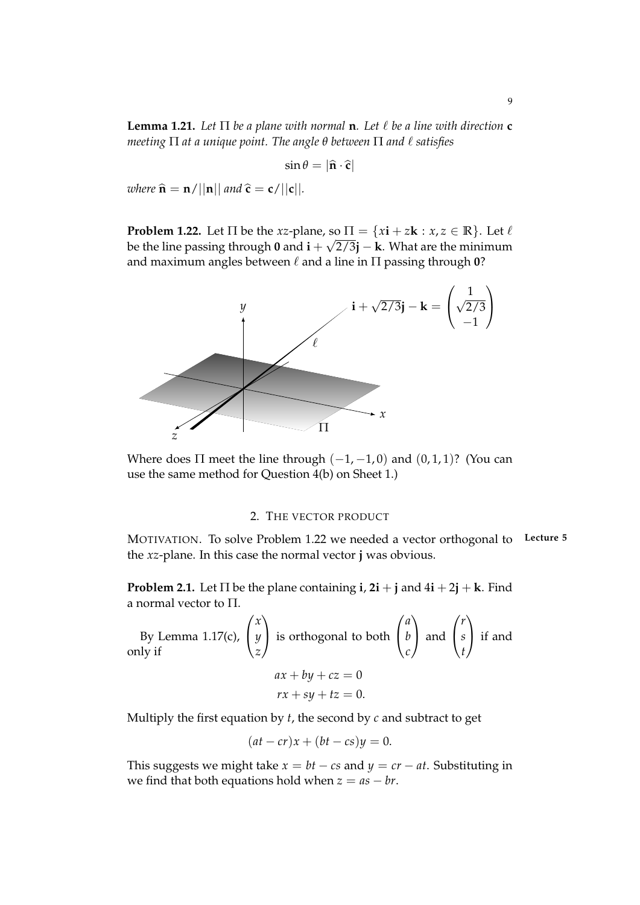**Lemma 1.21.** Let  $\Pi$  be a plane with normal **n**. Let  $\ell$  be a line with direction **c** *meeting*  $\Pi$  *at a unique point. The angle*  $\theta$  *between*  $\Pi$  *and*  $\ell$  *satisfies* 

$$
\sin \theta = |\hat{\mathbf{n}} \cdot \hat{\mathbf{c}}|
$$

*where*  $\hat{\mathbf{n}} = \mathbf{n}/||\mathbf{n}||$  *and*  $\hat{\mathbf{c}} = \mathbf{c}/||\mathbf{c}||$ *.* 

**Problem 1.22.** Let  $\Pi$  be the *xz*-plane, so  $\Pi = \{xi : x \in \mathbb{R} \}$ . Let  $\ell$ be the line passing through **0** and  $\mathbf{i} + \sqrt{2/3}\mathbf{j} - \mathbf{k}$ . What are the minimum and maximum angles between  $\ell$  and a line in  $\Pi$  passing through 0?



Where does  $\Pi$  meet the line through  $(-1, -1, 0)$  and  $(0, 1, 1)$ ? (You can use the same method for Question 4(b) on Sheet 1.)

### 2. THE VECTOR PRODUCT

MOTIVATION. To solve Problem 1.22 we needed a vector orthogonal to **Lecture 5** the *xz*-plane. In this case the normal vector **j** was obvious.

**Problem 2.1.** Let  $\Pi$  be the plane containing **i**,  $2\mathbf{i} + \mathbf{j}$  and  $4\mathbf{i} + 2\mathbf{j} + \mathbf{k}$ . Find a normal vector to Π.

By Lemma 1.17(c), 
$$
\begin{pmatrix} x \\ y \\ z \end{pmatrix}
$$
 is orthogonal to both  $\begin{pmatrix} a \\ b \\ c \end{pmatrix}$  and  $\begin{pmatrix} r \\ s \\ t \end{pmatrix}$  if and   
  $ax + by + cz = 0$   
\n $rx + sy + tz = 0$ .

Multiply the first equation by *t*, the second by *c* and subtract to get

$$
(at - cr)x + (bt - cs)y = 0.
$$

This suggests we might take  $x = bt - cs$  and  $y = cr - at$ . Substituting in we find that both equations hold when  $z = as - br$ .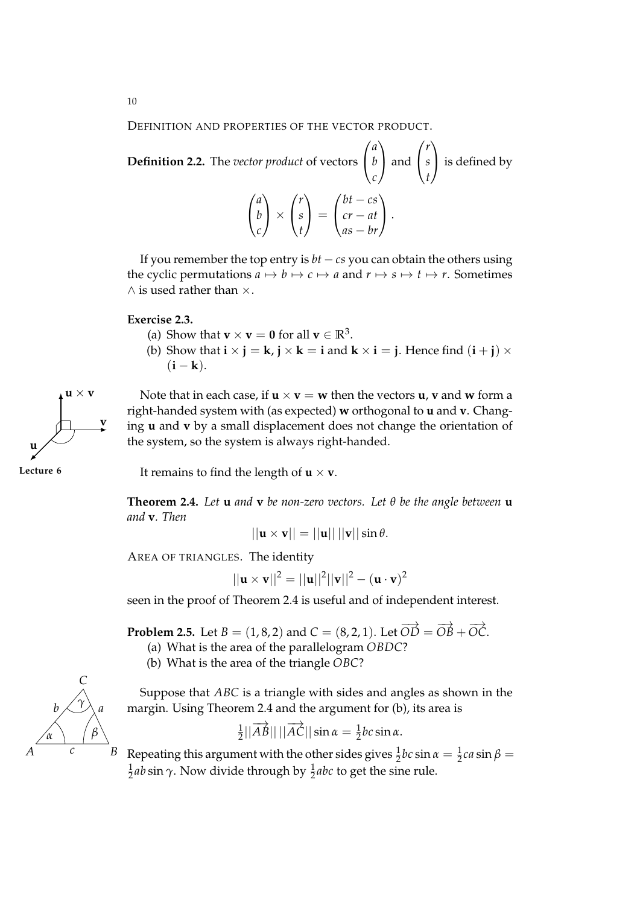DEFINITION AND PROPERTIES OF THE VECTOR PRODUCT.

**Definition 2.2.** The *vector product* of vectors 
$$
\begin{pmatrix} a \\ b \\ c \end{pmatrix}
$$
 and  $\begin{pmatrix} r \\ s \\ t \end{pmatrix}$  is defined by\n
$$
\begin{pmatrix} a \\ b \\ c \end{pmatrix} \times \begin{pmatrix} r \\ s \\ t \end{pmatrix} = \begin{pmatrix} bt - cs \\ cr - at \\ as - br \end{pmatrix}.
$$

If you remember the top entry is *bt* − *cs* you can obtain the others using the cyclic permutations  $a \mapsto b \mapsto c \mapsto a$  and  $r \mapsto s \mapsto t \mapsto r$ . Sometimes  $\wedge$  is used rather than  $\times$ .

### **Exercise 2.3.**

- (a) Show that **v**  $\times$  **v** = **0** for all **v**  $\in \mathbb{R}^3$ .
- (b) Show that  $\mathbf{i} \times \mathbf{j} = \mathbf{k}$ ,  $\mathbf{j} \times \mathbf{k} = \mathbf{i}$  and  $\mathbf{k} \times \mathbf{i} = \mathbf{j}$ . Hence find  $(\mathbf{i} + \mathbf{j}) \times \mathbf{k} = \mathbf{k}$  $(i - k)$ .



**Lecture 6** It remains to find the length of  $\mathbf{u} \times \mathbf{v}$ .

**Theorem 2.4.** *Let* **u** *and* **v** *be non-zero vectors. Let θ be the angle between* **u** *and* **v***. Then*

$$
||\mathbf{u} \times \mathbf{v}|| = ||\mathbf{u}|| \, ||\mathbf{v}|| \sin \theta.
$$

AREA OF TRIANGLES. The identity

$$
||\mathbf{u} \times \mathbf{v}||^2 = ||\mathbf{u}||^2 ||\mathbf{v}||^2 - (\mathbf{u} \cdot \mathbf{v})^2
$$

seen in the proof of Theorem 2.4 is useful and of independent interest.

**Problem 2.5.** Let  $B = (1, 8, 2)$  and  $C = (8, 2, 1)$ . Let  $\overrightarrow{OD} = \overrightarrow{OB} + \overrightarrow{OC}$ .

- (a) What is the area of the parallelogram *OBDC*?
- (b) What is the area of the triangle *OBC*?



Suppose that *ABC* is a triangle with sides and angles as shown in the margin. Using Theorem 2.4 and the argument for (b), its area is

$$
\frac{1}{2}||\overrightarrow{AB}|| \, ||\overrightarrow{AC}|| \sin \alpha = \frac{1}{2}bc \sin \alpha.
$$

Repeating this argument with the other sides gives  $\frac{1}{2}bc \sin \alpha = \frac{1}{2}ca \sin \beta =$ 1  $\frac{1}{2}$ *ab* sin  $\gamma$ . Now divide through by  $\frac{1}{2}$ *abc* to get the sine rule.

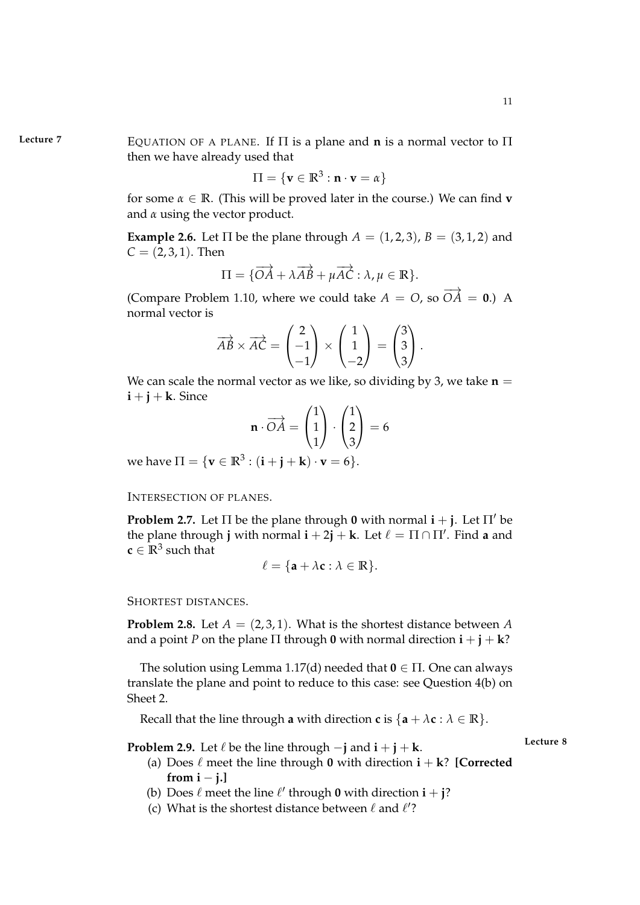**Lecture 7** EQUATION OF A PLANE. If Π is a plane and **n** is a normal vector to Π then we have already used that

$$
\Pi = \{ \mathbf{v} \in \mathbb{R}^3 : \mathbf{n} \cdot \mathbf{v} = \alpha \}
$$

for some  $\alpha \in \mathbb{R}$ . (This will be proved later in the course.) We can find **v** and *α* using the vector product.

**Example 2.6.** Let  $\Pi$  be the plane through  $A = (1, 2, 3)$ ,  $B = (3, 1, 2)$  and  $C = (2, 3, 1)$ . Then

$$
\Pi = \{ \overrightarrow{OA} + \lambda \overrightarrow{AB} + \mu \overrightarrow{AC} : \lambda, \mu \in \mathbb{R} \}.
$$

(Compare Problem 1.10, where we could take  $A = O$ , so  $\overrightarrow{OA} = 0$ .) A normal vector is

$$
\overrightarrow{AB} \times \overrightarrow{AC} = \begin{pmatrix} 2 \\ -1 \\ -1 \end{pmatrix} \times \begin{pmatrix} 1 \\ 1 \\ -2 \end{pmatrix} = \begin{pmatrix} 3 \\ 3 \\ 3 \end{pmatrix}.
$$

We can scale the normal vector as we like, so dividing by 3, we take  $n =$  $\mathbf{i} + \mathbf{j} + \mathbf{k}$ . Since

$$
\mathbf{n} \cdot \overrightarrow{OA} = \begin{pmatrix} 1 \\ 1 \\ 1 \end{pmatrix} \cdot \begin{pmatrix} 1 \\ 2 \\ 3 \end{pmatrix} = 6
$$

we have  $\Pi = {\mathbf{v} \in \mathbb{R}^3 : (\mathbf{i} + \mathbf{j} + \mathbf{k}) \cdot \mathbf{v} = 6}.$ 

INTERSECTION OF PLANES.

**Problem 2.7.** Let  $\Pi$  be the plane through **0** with normal  $\mathbf{i} + \mathbf{j}$ . Let  $\Pi'$  be the plane through **j** with normal  $\mathbf{i} + 2\mathbf{j} + \mathbf{k}$ . Let  $\ell = \Pi \cap \Pi'$ . Find **a** and  $c \in \mathbb{R}^3$  such that

$$
\ell = \{ \mathbf{a} + \lambda \mathbf{c} : \lambda \in \mathbb{R} \}.
$$

SHORTEST DISTANCES.

**Problem 2.8.** Let  $A = (2,3,1)$ . What is the shortest distance between A and a point *P* on the plane  $\Pi$  through **0** with normal direction  $\mathbf{i} + \mathbf{j} + \mathbf{k}$ ?

The solution using Lemma 1.17(d) needed that **0** ∈ Π. One can always translate the plane and point to reduce to this case: see Question 4(b) on Sheet 2.

Recall that the line through **a** with direction **c** is  $\{a + \lambda c : \lambda \in \mathbb{R}\}.$ 

**Problem 2.9.** Let  $\ell$  be the line through  $-\mathbf{i}$  and  $\mathbf{i} + \mathbf{j} + \mathbf{k}$ .

- 
- (a) Does  $\ell$  meet the line through **0** with direction  $\mathbf{i} + \mathbf{k}$ ? **[Corrected** from  $i - j$ .]
- (b) Does  $\ell$  meet the line  $\ell'$  through **0** with direction  $\mathbf{i} + \mathbf{j}$ ?
- (c) What is the shortest distance between  $\ell$  and  $\ell'$ ?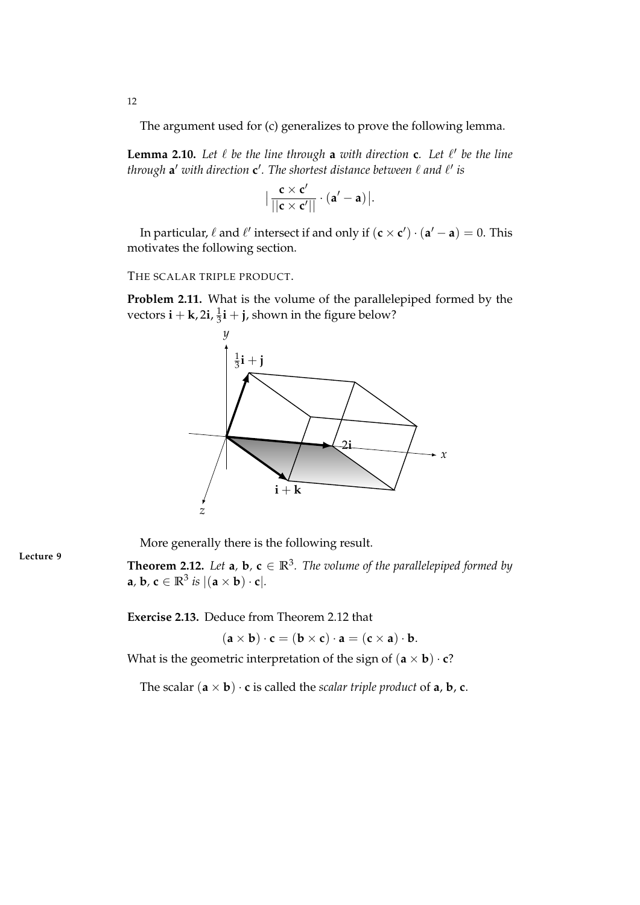The argument used for (c) generalizes to prove the following lemma.

**Lemma 2.10.** Let  $\ell$  be the line through **a** with direction **c**. Let  $\ell'$  be the line through **a'** with direction **c'**. The shortest distance between  $\ell$  and  $\ell'$  is

$$
\Big|\frac{\mathbf{c}\times\mathbf{c}'}{||\mathbf{c}\times\mathbf{c}'||}\cdot(\mathbf{a}'-\mathbf{a})\Big|.
$$

In particular,  $\ell$  and  $\ell'$  intersect if and only if  $(c \times c') \cdot (a' - a) = 0$ . This motivates the following section.

THE SCALAR TRIPLE PRODUCT.

**Problem 2.11.** What is the volume of the parallelepiped formed by the vectors  $\mathbf{i} + \mathbf{k}$ , 2 $\mathbf{i}$ ,  $\frac{1}{3}$  $\frac{1}{3}$ **i** + **j**, shown in the figure below?



More generally there is the following result.

**Theorem 2.12.** *Let* **a**, **b**, **c**  $\in \mathbb{R}^3$ *. The volume of the parallelepiped formed by* **a**, **b**, **c**  $\in \mathbb{R}^3$  *is*  $|$   $(\mathbf{a} \times \mathbf{b}) \cdot \mathbf{c}|$ *.* 

**Exercise 2.13.** Deduce from Theorem 2.12 that

 $(\mathbf{a} \times \mathbf{b}) \cdot \mathbf{c} = (\mathbf{b} \times \mathbf{c}) \cdot \mathbf{a} = (\mathbf{c} \times \mathbf{a}) \cdot \mathbf{b}.$ 

What is the geometric interpretation of the sign of  $(\mathbf{a} \times \mathbf{b}) \cdot \mathbf{c}$ ?

The scalar  $(\mathbf{a} \times \mathbf{b}) \cdot \mathbf{c}$  is called the *scalar triple product* of  $\mathbf{a}, \mathbf{b}, \mathbf{c}$ .

**Lecture 9**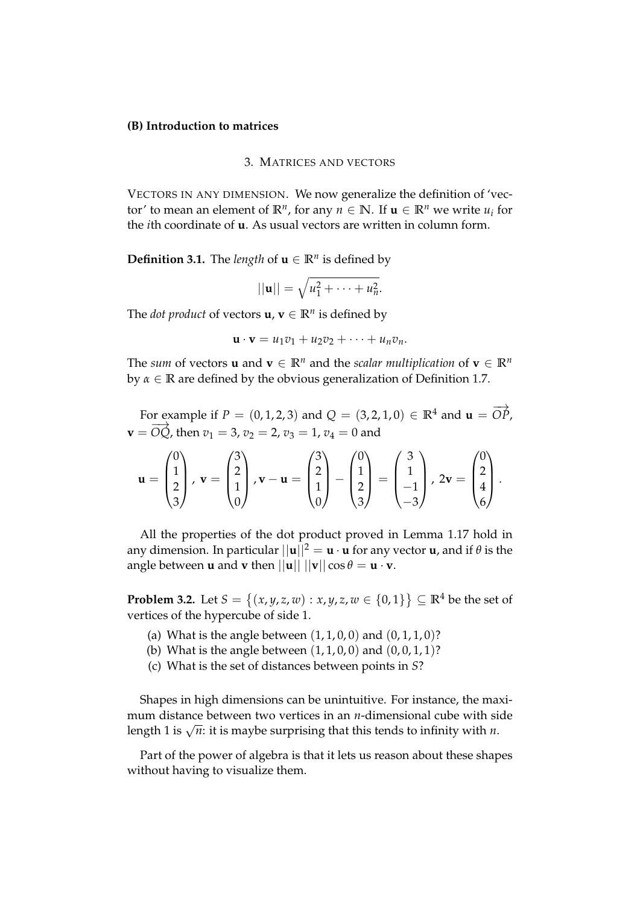### **(B) Introduction to matrices**

### 3. MATRICES AND VECTORS

VECTORS IN ANY DIMENSION. We now generalize the definition of 'vector' to mean an element of  $\mathbb{R}^n$ , for any  $n \in \mathbb{N}$ . If  $\mathbf{u} \in \mathbb{R}^n$  we write  $u_i$  for the *i*th coordinate of **u**. As usual vectors are written in column form.

**Definition 3.1.** The *length* of  $\mathbf{u} \in \mathbb{R}^n$  is defined by

$$
||\mathbf{u}|| = \sqrt{u_1^2 + \cdots + u_n^2}.
$$

The *dot product* of vectors  $\mathbf{u}, \mathbf{v} \in \mathbb{R}^n$  is defined by

$$
\mathbf{u}\cdot\mathbf{v}=u_1v_1+u_2v_2+\cdots+u_nv_n.
$$

The *sum* of vectors **u** and **v**  $\in \mathbb{R}^n$  and the *scalar multiplication* of **v**  $\in \mathbb{R}^n$ by *α* ∈ **R** are defined by the obvious generalization of Definition 1.7.

For example if  $P = (0, 1, 2, 3)$  and  $Q = (3, 2, 1, 0) \in \mathbb{R}^4$  and  $\mathbf{u} = \overrightarrow{OP}$ ,  $\mathbf{v} = \overrightarrow{OQ}$ , then  $v_1 = 3$ ,  $v_2 = 2$ ,  $v_3 = 1$ ,  $v_4 = 0$  and

$$
\mathbf{u} = \begin{pmatrix} 0 \\ 1 \\ 2 \\ 3 \end{pmatrix}, \mathbf{v} = \begin{pmatrix} 3 \\ 2 \\ 1 \\ 0 \end{pmatrix}, \mathbf{v} - \mathbf{u} = \begin{pmatrix} 3 \\ 2 \\ 1 \\ 0 \end{pmatrix} - \begin{pmatrix} 0 \\ 1 \\ 2 \\ 3 \end{pmatrix} = \begin{pmatrix} 3 \\ 1 \\ -1 \\ -3 \end{pmatrix}, 2\mathbf{v} = \begin{pmatrix} 0 \\ 2 \\ 4 \\ 6 \end{pmatrix}.
$$

All the properties of the dot product proved in Lemma 1.17 hold in any dimension. In particular  $||\mathbf{u}||^2 = \mathbf{u} \cdot \mathbf{u}$  for any vector **u**, and if  $\theta$  is the angle between **u** and **v** then  $||\mathbf{u}|| \, ||\mathbf{v}|| \cos \theta = \mathbf{u} \cdot \mathbf{v}$ .

**Problem 3.2.** Let  $S = \{(x, y, z, w) : x, y, z, w \in \{0, 1\}\}\subseteq \mathbb{R}^4$  be the set of vertices of the hypercube of side 1.

- (a) What is the angle between  $(1, 1, 0, 0)$  and  $(0, 1, 1, 0)$ ?
- (b) What is the angle between  $(1, 1, 0, 0)$  and  $(0, 0, 1, 1)$ ?
- (c) What is the set of distances between points in *S*?

Shapes in high dimensions can be unintuitive. For instance, the maximum distance between two vertices in an *n*-dimensional cube with side length 1 is  $\sqrt{n}$ : it is maybe surprising that this tends to infinity with *n*.

Part of the power of algebra is that it lets us reason about these shapes without having to visualize them.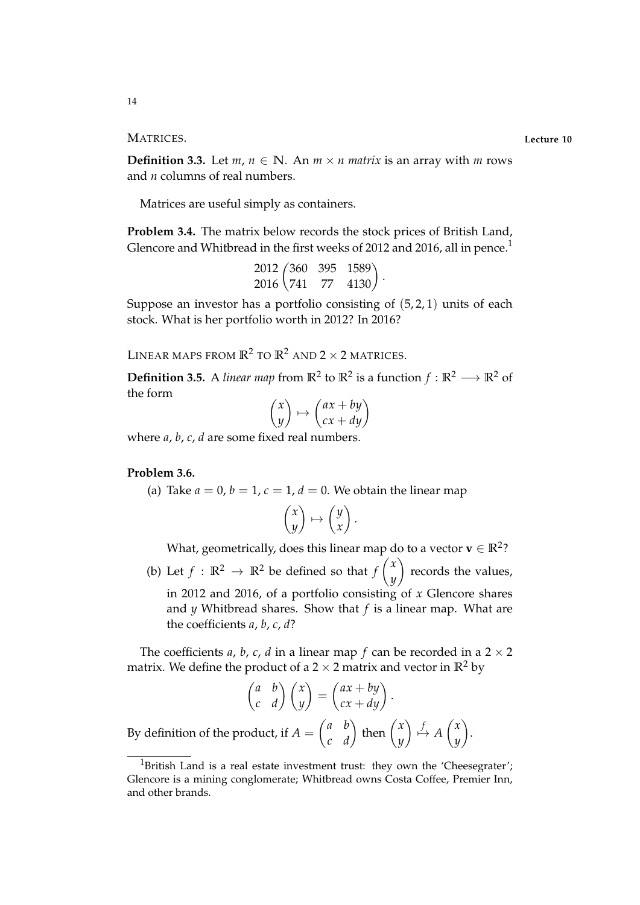MATRICES. **Lecture 10**

**Definition 3.3.** Let  $m, n \in \mathbb{N}$ . An  $m \times n$  matrix is an array with m rows and *n* columns of real numbers.

Matrices are useful simply as containers.

**Problem 3.4.** The matrix below records the stock prices of British Land, Glencore and Whitbread in the first weeks of 2012 and 2016, all in pence.<sup>1</sup>

$$
\begin{array}{cc}\n 2012 \begin{pmatrix} 360 & 395 & 1589 \\ 741 & 77 & 4130 \end{pmatrix}.\n \end{array}
$$

Suppose an investor has a portfolio consisting of  $(5, 2, 1)$  units of each stock. What is her portfolio worth in 2012? In 2016?

LINEAR MAPS FROM  $\mathbb{R}^2$  TO  $\mathbb{R}^2$  AND  $2 \times 2$  MATRICES.

**Definition 3.5.** A *linear map* from  $\mathbb{R}^2$  to  $\mathbb{R}^2$  is a function  $f : \mathbb{R}^2 \longrightarrow \mathbb{R}^2$  of the form

$$
\begin{pmatrix} x \\ y \end{pmatrix} \mapsto \begin{pmatrix} ax + by \\ cx + dy \end{pmatrix}
$$

where *a*, *b*, *c*, *d* are some fixed real numbers.

### **Problem 3.6.**

(a) Take  $a = 0$ ,  $b = 1$ ,  $c = 1$ ,  $d = 0$ . We obtain the linear map

$$
\begin{pmatrix} x \\ y \end{pmatrix} \mapsto \begin{pmatrix} y \\ x \end{pmatrix}.
$$

What, geometrically, does this linear map do to a vector  $\mathbf{v} \in \mathbb{R}^2$ ?

(b) Let  $f : \mathbb{R}^2 \to \mathbb{R}^2$  be defined so that  $f \begin{pmatrix} x \\ y \end{pmatrix}$ *y*  $\setminus$ records the values, in 2012 and 2016, of a portfolio consisting of *x* Glencore shares and *y* Whitbread shares. Show that *f* is a linear map. What are the coefficients *a*, *b*, *c*, *d*?

The coefficients *a*, *b*, *c*, *d* in a linear map *f* can be recorded in a  $2 \times 2$ matrix. We define the product of a  $2 \times 2$  matrix and vector in  $\mathbb{R}^2$  by

$$
\begin{pmatrix} a & b \\ c & d \end{pmatrix} \begin{pmatrix} x \\ y \end{pmatrix} = \begin{pmatrix} ax + by \\ cx + dy \end{pmatrix}.
$$

By definition of the product, if  $A =$  $\begin{pmatrix} a & b \\ c & d \end{pmatrix}$  then  $\begin{pmatrix} x \\ y \end{pmatrix}$ *y f* 7→ *A x y*  $\setminus$ .

<sup>&</sup>lt;sup>1</sup>British Land is a real estate investment trust: they own the 'Cheesegrater'; Glencore is a mining conglomerate; Whitbread owns Costa Coffee, Premier Inn, and other brands.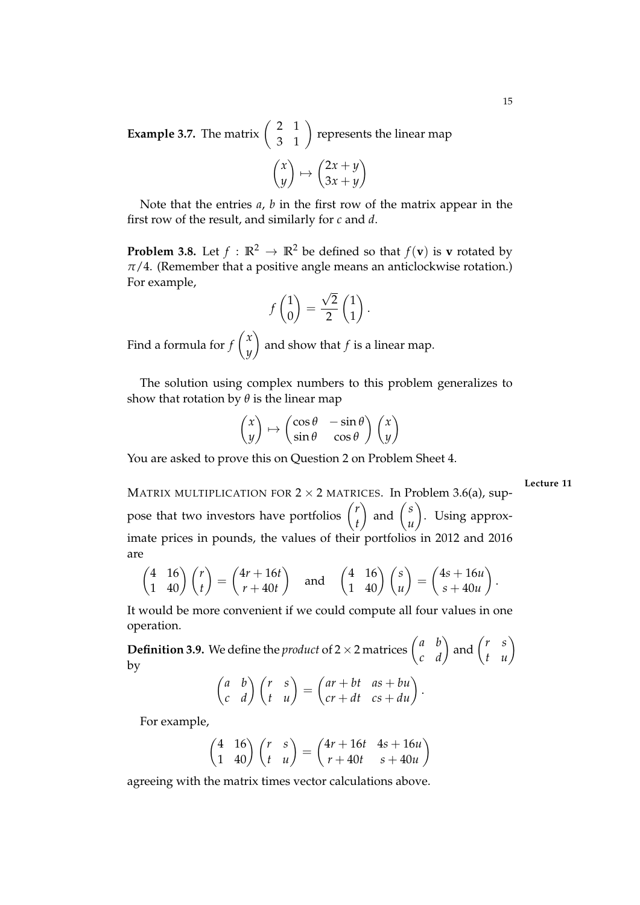**Example 3.7.** The matrix  $\begin{pmatrix} 2 & 1 \\ 3 & 1 \end{pmatrix}$  represents the linear map  $\sqrt{ }$  $\setminus$  $\setminus$ 

$$
\begin{pmatrix} x \\ y \end{pmatrix} \mapsto \begin{pmatrix} 2x + y \\ 3x + y \end{pmatrix}
$$

Note that the entries *a*, *b* in the first row of the matrix appear in the first row of the result, and similarly for *c* and *d*.

**Problem 3.8.** Let  $f : \mathbb{R}^2 \to \mathbb{R}^2$  be defined so that  $f(\mathbf{v})$  is **v** rotated by  $\pi/4$ . (Remember that a positive angle means an anticlockwise rotation.) For example,

$$
f\begin{pmatrix}1\\0\end{pmatrix}=\frac{\sqrt{2}}{2}\begin{pmatrix}1\\1\end{pmatrix}.
$$

Find a formula for *f x y*  $\setminus$ and show that *f* is a linear map.

The solution using complex numbers to this problem generalizes to show that rotation by *θ* is the linear map

$$
\begin{pmatrix} x \\ y \end{pmatrix} \mapsto \begin{pmatrix} \cos \theta & -\sin \theta \\ \sin \theta & \cos \theta \end{pmatrix} \begin{pmatrix} x \\ y \end{pmatrix}
$$

You are asked to prove this on Question 2 on Problem Sheet 4.

**Lecture 11**

MATRIX MULTIPLICATION FOR  $2 \times 2$  MATRICES. In Problem 3.6(a), suppose that two investors have portfolios  $\binom{r}{r}$ *t*  $\int$  and  $\int$ <sup>s</sup> *u*  $\lambda$ . Using approximate prices in pounds, the values of their portfolios in 2012 and 2016 are

$$
\begin{pmatrix} 4 & 16 \\ 1 & 40 \end{pmatrix} \begin{pmatrix} r \\ t \end{pmatrix} = \begin{pmatrix} 4r + 16t \\ r + 40t \end{pmatrix} \text{ and } \begin{pmatrix} 4 & 16 \\ 1 & 40 \end{pmatrix} \begin{pmatrix} s \\ u \end{pmatrix} = \begin{pmatrix} 4s + 16u \\ s + 40u \end{pmatrix}.
$$

It would be more convenient if we could compute all four values in one operation.

**Definition 3.9.** We define the *product* of 2 × 2 matrices  $\begin{pmatrix} a & b \\ c & d \end{pmatrix}$  and  $\begin{pmatrix} r & s \\ t & u \end{pmatrix}$ by

$$
\begin{pmatrix} a & b \\ c & d \end{pmatrix} \begin{pmatrix} r & s \\ t & u \end{pmatrix} = \begin{pmatrix} ar + bt & as + bu \\ cr + dt & cs + du \end{pmatrix}.
$$

For example,

$$
\begin{pmatrix} 4 & 16 \\ 1 & 40 \end{pmatrix} \begin{pmatrix} r & s \\ t & u \end{pmatrix} = \begin{pmatrix} 4r + 16t & 4s + 16u \\ r + 40t & s + 40u \end{pmatrix}
$$

agreeing with the matrix times vector calculations above.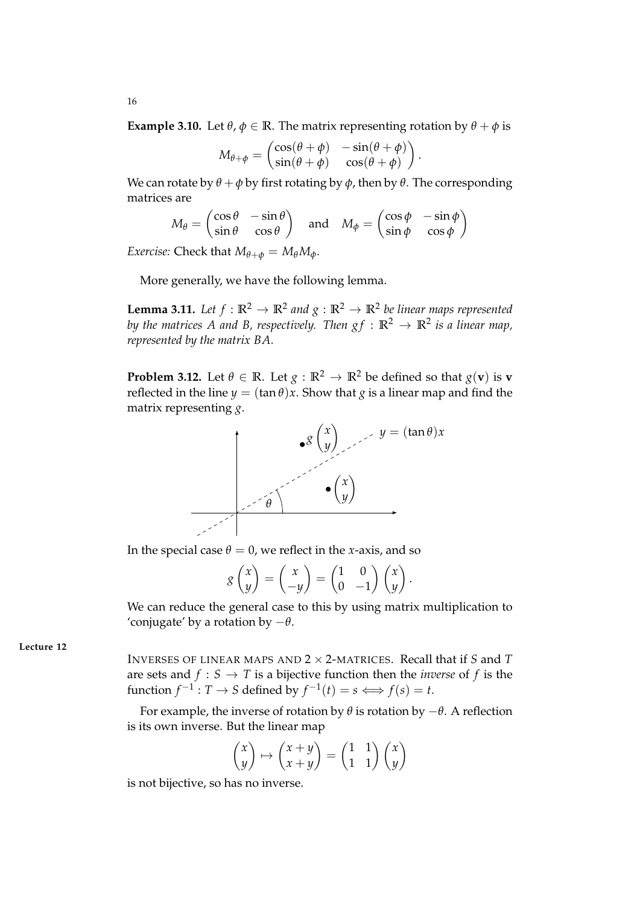**Example 3.10.** Let  $\theta$ ,  $\phi \in \mathbb{R}$ . The matrix representing rotation by  $\theta + \phi$  is

$$
M_{\theta+\phi} = \begin{pmatrix} \cos(\theta+\phi) & -\sin(\theta+\phi) \\ \sin(\theta+\phi) & \cos(\theta+\phi) \end{pmatrix}.
$$

We can rotate by  $\theta + \phi$  by first rotating by  $\phi$ , then by  $\theta$ . The corresponding matrices are

$$
M_{\theta} = \begin{pmatrix} \cos \theta & -\sin \theta \\ \sin \theta & \cos \theta \end{pmatrix} \text{ and } M_{\phi} = \begin{pmatrix} \cos \phi & -\sin \phi \\ \sin \phi & \cos \phi \end{pmatrix}
$$

*Exercise:* Check that  $M_{\theta+\phi} = M_{\theta}M_{\phi}$ .

More generally, we have the following lemma.

**Lemma 3.11.** Let  $f : \mathbb{R}^2 \to \mathbb{R}^2$  and  $g : \mathbb{R}^2 \to \mathbb{R}^2$  be linear maps represented by the matrices A and B, respectively. Then  $gf : \mathbb{R}^2 \to \mathbb{R}^2$  is a linear map, *represented by the matrix BA.*

**Problem 3.12.** Let  $\theta \in \mathbb{R}$ . Let  $g : \mathbb{R}^2 \to \mathbb{R}^2$  be defined so that  $g(\mathbf{v})$  is  $\mathbf{v}$ reflected in the line  $y = (\tan \theta)x$ . Show that *g* is a linear map and find the matrix representing *g*.



In the special case  $\theta = 0$ , we reflect in the *x*-axis, and so

$$
g\begin{pmatrix}x\\y\end{pmatrix}=\begin{pmatrix}x\\-y\end{pmatrix}=\begin{pmatrix}1&0\\0&-1\end{pmatrix}\begin{pmatrix}x\\y\end{pmatrix}.
$$

We can reduce the general case to this by using matrix multiplication to 'conjugate' by a rotation by −*θ*.

**Lecture 12**

INVERSES OF LINEAR MAPS AND 2 × 2-MATRICES. Recall that if *S* and *T* are sets and  $f : S \to T$  is a bijective function then the *inverse* of f is the function *f*<sup>-1</sup> : *T* → *S* defined by  $f^{-1}(t) = s \Longleftrightarrow f(s) = t$ .

For example, the inverse of rotation by  $\theta$  is rotation by  $-\theta$ . A reflection is its own inverse. But the linear map

$$
\begin{pmatrix} x \\ y \end{pmatrix} \mapsto \begin{pmatrix} x+y \\ x+y \end{pmatrix} = \begin{pmatrix} 1 & 1 \\ 1 & 1 \end{pmatrix} \begin{pmatrix} x \\ y \end{pmatrix}
$$

is not bijective, so has no inverse.

16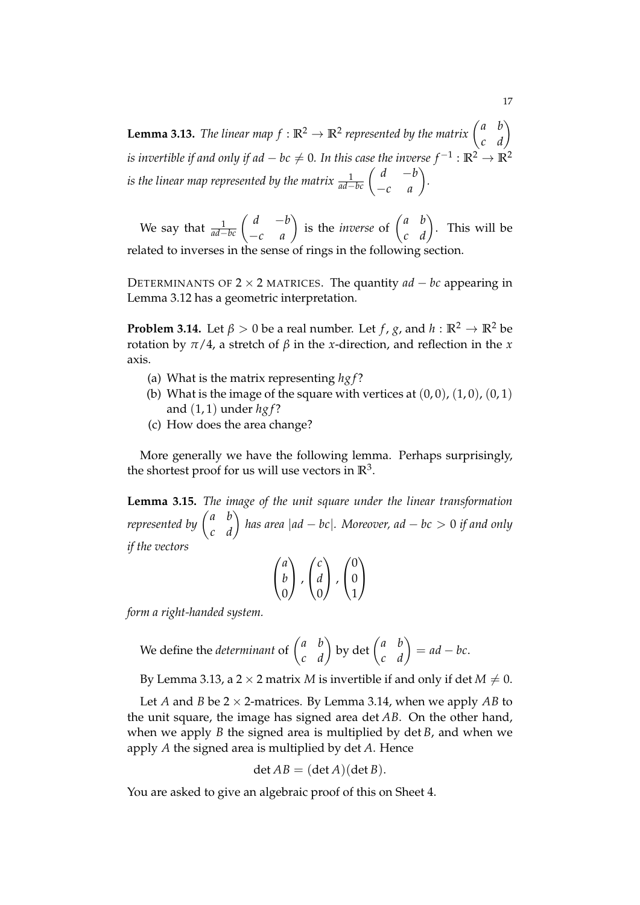**Lemma 3.13.** *The linear map*  $f : \mathbb{R}^2 \to \mathbb{R}^2$  represented by the matrix  $\begin{pmatrix} a & b \\ c & d \end{pmatrix}$ *is invertible if and only if ad*  $-bc\neq 0$ *. In this case the inverse*  $f^{-1}:\mathbb{R}^2\to\mathbb{R}^2$ *is the linear map represented by the matrix*  $\frac{1}{ad-bc} \begin{pmatrix} d & -b \\ -c & a \end{pmatrix}$ *.*

We say that  $\frac{1}{ad-bc} \begin{pmatrix} d & -b \\ -c & a \end{pmatrix}$  is the *inverse* of  $\begin{pmatrix} a & b \\ c & d \end{pmatrix}$ . This will be related to inverses in the sense of rings in the following section.

DETERMINANTS OF  $2 \times 2$  MATRICES. The quantity  $ad - bc$  appearing in Lemma 3.12 has a geometric interpretation.

**Problem 3.14.** Let  $\beta > 0$  be a real number. Let *f*, *g*, and *h* :  $\mathbb{R}^2 \to \mathbb{R}^2$  be rotation by  $\pi/4$ , a stretch of  $β$  in the *x*-direction, and reflection in the *x* axis.

- (a) What is the matrix representing *hg f* ?
- (b) What is the image of the square with vertices at  $(0,0)$ ,  $(1,0)$ ,  $(0,1)$ and (1, 1) under *hg f* ?
- (c) How does the area change?

More generally we have the following lemma. Perhaps surprisingly, the shortest proof for us will use vectors in  $\mathbb{R}^3$ .

**Lemma 3.15.** *The image of the unit square under the linear transformation represented by*  $\begin{pmatrix} a & b \ c & d \end{pmatrix}$  has area  $|ad - bc|$ . Moreover, ad  $-$  bc  $>0$  if and only *if the vectors*

$$
\begin{pmatrix} a \\ b \\ 0 \end{pmatrix}, \begin{pmatrix} c \\ d \\ 0 \end{pmatrix}, \begin{pmatrix} 0 \\ 0 \\ 1 \end{pmatrix}
$$

*form a right-handed system.*

We define the *determinant* of 
$$
\begin{pmatrix} a & b \\ c & d \end{pmatrix}
$$
 by det  $\begin{pmatrix} a & b \\ c & d \end{pmatrix} = ad - bc$ .

By Lemma 3.13, a 2  $\times$  2 matrix *M* is invertible if and only if det *M*  $\neq$  0.

Let *A* and *B* be  $2 \times 2$ -matrices. By Lemma 3.14, when we apply *AB* to the unit square, the image has signed area det *AB*. On the other hand, when we apply *B* the signed area is multiplied by det *B*, and when we apply *A* the signed area is multiplied by det *A*. Hence

$$
\det AB = (\det A)(\det B).
$$

You are asked to give an algebraic proof of this on Sheet 4.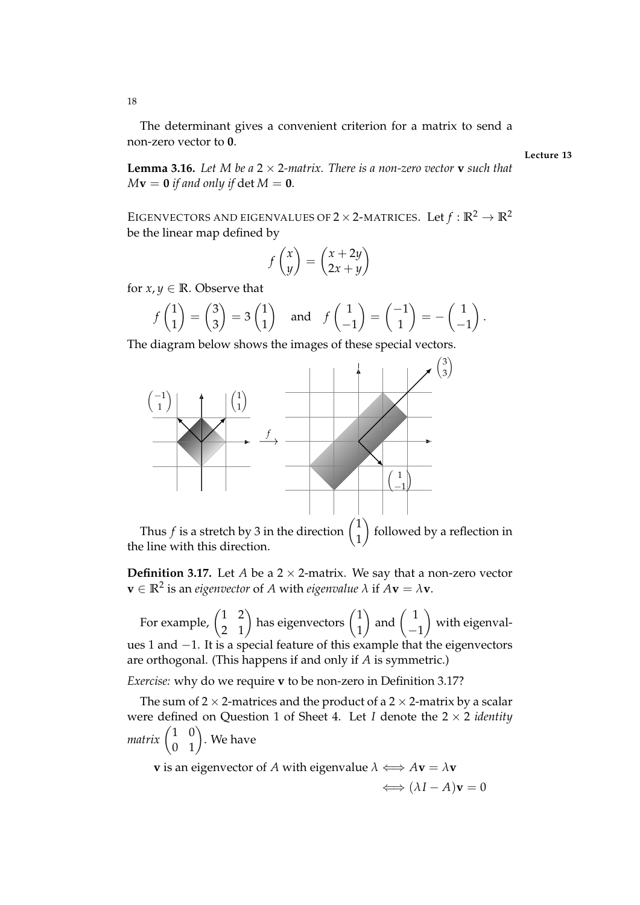The determinant gives a convenient criterion for a matrix to send a non-zero vector to **0**.

**Lecture 13**

**Lemma 3.16.** *Let M be a*  $2 \times 2$ *-matrix. There is a non-zero vector* **v** *such that*  $M$ **v** = **0** *if and only if det*  $M = 0$ *.* 

EIGENVECTORS AND EIGENVALUES OF  $2 \times 2$ -MATRICES. Let  $f : \mathbb{R}^2 \to \mathbb{R}^2$ be the linear map defined by

$$
f\begin{pmatrix} x \\ y \end{pmatrix} = \begin{pmatrix} x + 2y \\ 2x + y \end{pmatrix}
$$

for  $x, y \in \mathbb{R}$ . Observe that

$$
f\begin{pmatrix} 1 \\ 1 \end{pmatrix} = \begin{pmatrix} 3 \\ 3 \end{pmatrix} = 3 \begin{pmatrix} 1 \\ 1 \end{pmatrix}
$$
 and  $f\begin{pmatrix} 1 \\ -1 \end{pmatrix} = \begin{pmatrix} -1 \\ 1 \end{pmatrix} = -\begin{pmatrix} 1 \\ -1 \end{pmatrix}$ .

The diagram below shows the images of these special vectors.



Thus  $f$  is a stretch by 3 in the direction 1 followed by a reflection in the line with this direction.

**Definition 3.17.** Let *A* be a  $2 \times 2$ -matrix. We say that a non-zero vector  $\mathbf{v} \in \mathbb{R}^2$  is an *eigenvector* of *A* with *eigenvalue*  $\lambda$  if  $A\mathbf{v} = \lambda \mathbf{v}$ .

For example,  $\begin{pmatrix} 1 & 2 \\ 2 & 1 \end{pmatrix}$  has eigenvectors  $\begin{pmatrix} 1 & 1 \\ 1 & 1 \end{pmatrix}$ 1  $\Big)$  and  $\Big($  1 −1  $\lambda$ with eigenvalues 1 and −1. It is a special feature of this example that the eigenvectors are orthogonal. (This happens if and only if *A* is symmetric.)

*Exercise:* why do we require **v** to be non-zero in Definition 3.17?

The sum of 2  $\times$  2-matrices and the product of a 2  $\times$  2-matrix by a scalar were defined on Question 1 of Sheet 4. Let *I* denote the 2 × 2 *identity*  $\textit{matrix}\begin{pmatrix} 1 & 0 \ 0 & 1 \end{pmatrix}.$  We have

**v** is an eigenvector of *A* with eigenvalue  $\lambda \iff A$ **v** =  $\lambda$ **v**  $\Longleftrightarrow$   $(\lambda I - A)\mathbf{v} = 0$ 

18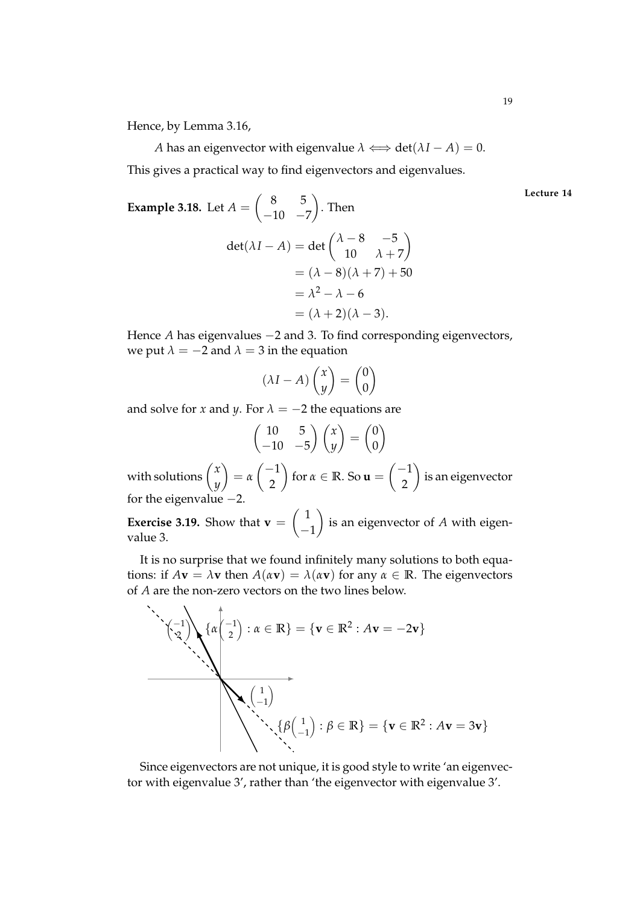*A* has an eigenvector with eigenvalue  $\lambda \iff \det(\lambda I - A) = 0$ .

This gives a practical way to find eigenvectors and eigenvalues.

Example 3.18. Let 
$$
A = \begin{pmatrix} 8 & 5 \\ -10 & -7 \end{pmatrix}
$$
. Then  
\n
$$
\det(\lambda I - A) = \det \begin{pmatrix} \lambda - 8 & -5 \\ 10 & \lambda + 7 \end{pmatrix}
$$
\n
$$
= (\lambda - 8)(\lambda + 7) + 50
$$
\n
$$
= \lambda^2 - \lambda - 6
$$
\n
$$
= (\lambda + 2)(\lambda - 3).
$$

Hence *A* has eigenvalues −2 and 3. To find corresponding eigenvectors, we put  $\lambda = -2$  and  $\lambda = 3$  in the equation

$$
(\lambda I - A) \begin{pmatrix} x \\ y \end{pmatrix} = \begin{pmatrix} 0 \\ 0 \end{pmatrix}
$$

and solve for *x* and *y*. For  $\lambda = -2$  the equations are

$$
\begin{pmatrix} 10 & 5 \ -10 & -5 \end{pmatrix} \begin{pmatrix} x \\ y \end{pmatrix} = \begin{pmatrix} 0 \\ 0 \end{pmatrix}
$$

with solutions  $\begin{pmatrix} x \\ y \end{pmatrix}$ *y*  $\setminus$ = *α*  $\begin{pmatrix} -1 \end{pmatrix}$ 2  $\setminus$ for  $\alpha \in \mathbb{R}$ . So  $\mathbf{u} =$  $\begin{pmatrix} -1 \end{pmatrix}$ 2  $\setminus$ is an eigenvector for the eigenvalue −2.

**Exercise 3.19.** Show that  $\mathbf{v} =$  $\left(1\right)$  $-1$  $\setminus$ is an eigenvector of *A* with eigenvalue 3.

It is no surprise that we found infinitely many solutions to both equations: if  $A$ **v** =  $\lambda$ **v** then  $A(\alpha$ **v**) =  $\lambda(\alpha$ **v**) for any  $\alpha \in \mathbb{R}$ . The eigenvectors of *A* are the non-zero vectors on the two lines below.



Since eigenvectors are not unique, it is good style to write 'an eigenvector with eigenvalue 3', rather than 'the eigenvector with eigenvalue 3'.

**Lecture 14**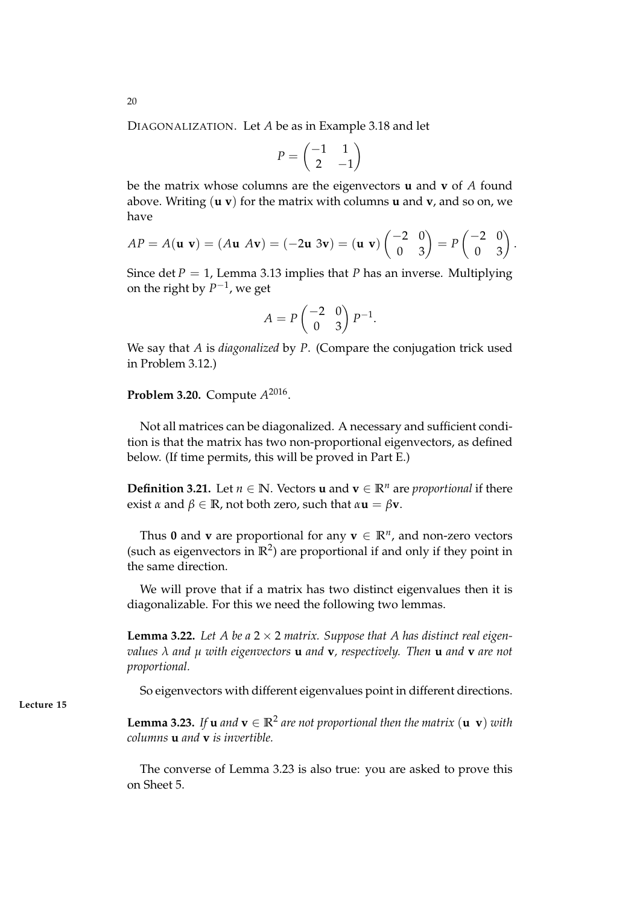DIAGONALIZATION. Let *A* be as in Example 3.18 and let

$$
P=\begin{pmatrix} -1 & 1 \\ 2 & -1 \end{pmatrix}
$$

be the matrix whose columns are the eigenvectors **u** and **v** of *A* found above. Writing (**u v**) for the matrix with columns **u** and **v**, and so on, we have

$$
AP = A(\mathbf{u} \ \mathbf{v}) = (A\mathbf{u} \ A\mathbf{v}) = (-2\mathbf{u} \ 3\mathbf{v}) = (\mathbf{u} \ \mathbf{v}) \begin{pmatrix} -2 & 0 \\ 0 & 3 \end{pmatrix} = P \begin{pmatrix} -2 & 0 \\ 0 & 3 \end{pmatrix}.
$$

Since det  $P = 1$ , Lemma 3.13 implies that *P* has an inverse. Multiplying on the right by  $P^{-1}$ , we get

$$
A = P \begin{pmatrix} -2 & 0 \\ 0 & 3 \end{pmatrix} P^{-1}.
$$

We say that *A* is *diagonalized* by *P*. (Compare the conjugation trick used in Problem 3.12.)

**Problem 3.20.** Compute *A* 2016 .

Not all matrices can be diagonalized. A necessary and sufficient condition is that the matrix has two non-proportional eigenvectors, as defined below. (If time permits, this will be proved in Part E.)

**Definition 3.21.** Let  $n \in \mathbb{N}$ . Vectors **u** and  $\mathbf{v} \in \mathbb{R}^n$  are *proportional* if there exist  $\alpha$  and  $\beta \in \mathbb{R}$ , not both zero, such that  $\alpha$ **u** =  $\beta$ **v**.

Thus 0 and **v** are proportional for any  $\mathbf{v} \in \mathbb{R}^n$ , and non-zero vectors (such as eigenvectors in  $\mathbb{R}^2$ ) are proportional if and only if they point in the same direction.

We will prove that if a matrix has two distinct eigenvalues then it is diagonalizable. For this we need the following two lemmas.

**Lemma 3.22.** Let A be a  $2 \times 2$  matrix. Suppose that A has distinct real eigen*values λ and µ with eigenvectors* **u** *and* **v***, respectively. Then* **u** *and* **v** *are not proportional.*

So eigenvectors with different eigenvalues point in different directions.

**Lemma 3.23.** *If* **u** *and*  $\mathbf{v} \in \mathbb{R}^2$  *are not proportional then the matrix*  $(\mathbf{u} \ \mathbf{v})$  *with columns* **u** *and* **v** *is invertible.*

The converse of Lemma 3.23 is also true: you are asked to prove this on Sheet 5.

**Lecture 15**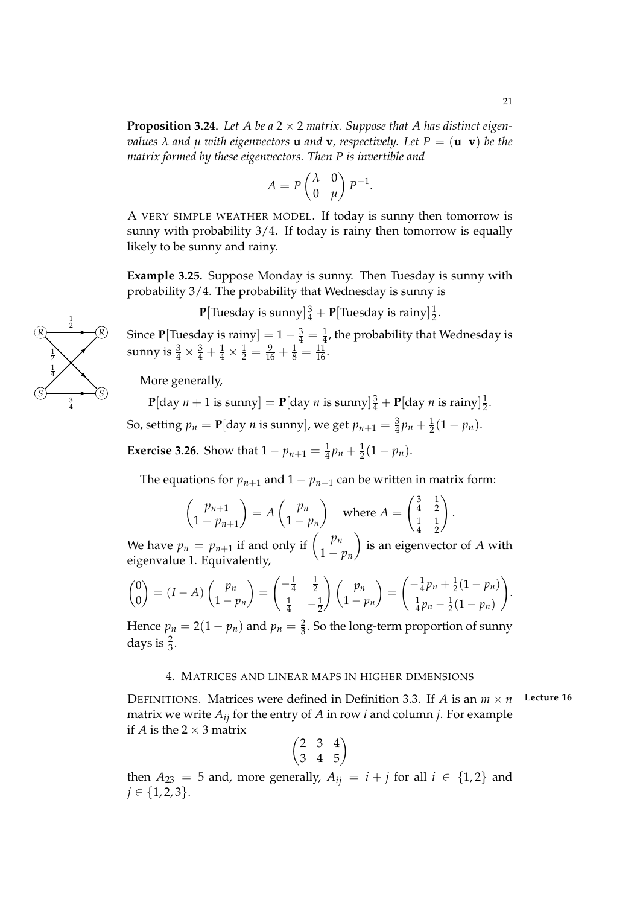**Proposition 3.24.** Let A be a  $2 \times 2$  matrix. Suppose that A has distinct eigen*values*  $\lambda$  *and*  $\mu$  *with eigenvectors* **u** *and* **v***, respectively. Let*  $P = (\mathbf{u} \ \mathbf{v})$  *be the matrix formed by these eigenvectors. Then P is invertible and*

$$
A = P \begin{pmatrix} \lambda & 0 \\ 0 & \mu \end{pmatrix} P^{-1}.
$$

A VERY SIMPLE WEATHER MODEL. If today is sunny then tomorrow is sunny with probability  $3/4$ . If today is rainy then tomorrow is equally likely to be sunny and rainy.

**Example 3.25.** Suppose Monday is sunny. Then Tuesday is sunny with probability 3/4. The probability that Wednesday is sunny is

> ${\bf P}[\text{Tuesday is sunny}] \frac{3}{4} + {\bf P}[\text{Tuesday is rainy}] \frac{1}{2}$  $rac{1}{2}$ .

Since **P**[Tuesday is rainy] =  $1 - \frac{3}{4} = \frac{1}{4}$ , the probability that Wednesday is sunny is  $\frac{3}{4} \times \frac{3}{4} + \frac{1}{4} \times \frac{1}{2} = \frac{9}{16} + \frac{1}{8} = \frac{11}{16}$ .

More generally,

 ${\bf P}[$ day  $n+1$  is sunny $]= {\bf P}[$ day  $n$  is sunny $]\frac{3}{4} + {\bf P}[$ day  $n$  is rainy $]\frac{1}{2}$  $rac{1}{2}$ .

So, setting  $p_n = \mathbf{P}[\text{day } n \text{ is sunny}],$  we get  $p_{n+1} = \frac{3}{4}p_n + \frac{1}{2}(1 - p_n).$ 

**Exercise 3.26.** Show that  $1 - p_{n+1} = \frac{1}{4}p_n + \frac{1}{2}(1 - p_n)$ .

The equations for  $p_{n+1}$  and  $1 - p_{n+1}$  can be written in matrix form:

$$
\begin{pmatrix} p_{n+1} \\ 1 - p_{n+1} \end{pmatrix} = A \begin{pmatrix} p_n \\ 1 - p_n \end{pmatrix} \text{ where } A = \begin{pmatrix} \frac{3}{4} & \frac{1}{2} \\ \frac{1}{4} & \frac{1}{2} \end{pmatrix}.
$$

We have  $p_n = p_{n+1}$  if and only if  $\binom{p_n}{n}$ 1 − *p<sup>n</sup>* is an eigenvector of *A* with eigenvalue 1. Equivalently,

$$
\begin{pmatrix} 0 \\ 0 \end{pmatrix} = (I - A) \begin{pmatrix} p_n \\ 1 - p_n \end{pmatrix} = \begin{pmatrix} -\frac{1}{4} & \frac{1}{2} \\ \frac{1}{4} & -\frac{1}{2} \end{pmatrix} \begin{pmatrix} p_n \\ 1 - p_n \end{pmatrix} = \begin{pmatrix} -\frac{1}{4}p_n + \frac{1}{2}(1 - p_n) \\ \frac{1}{4}p_n - \frac{1}{2}(1 - p_n) \end{pmatrix}.
$$

Hence  $p_n = 2(1 - p_n)$  and  $p_n = \frac{2}{3}$ . So the long-term proportion of sunny days is  $\frac{2}{3}$ .

### 4. MATRICES AND LINEAR MAPS IN HIGHER DIMENSIONS

DEFINITIONS. Matrices were defined in Definition 3.3. If *A* is an  $m \times n$  Lecture 16 matrix we write  $A_{ij}$  for the entry of  $A$  in row  $i$  and column  $j$ . For example if *A* is the  $2 \times 3$  matrix

$$
\begin{pmatrix}2&3&4\\3&4&5\end{pmatrix}
$$

then  $A_{23} = 5$  and, more generally,  $A_{ij} = i + j$  for all  $i \in \{1,2\}$  and  $j \in \{1, 2, 3\}.$ 

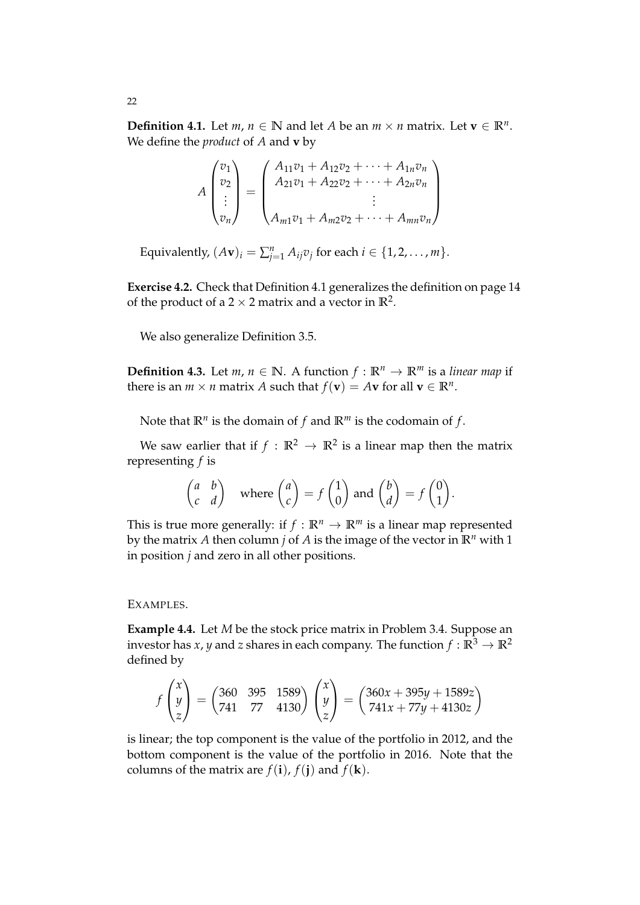**Definition 4.1.** Let *m*, *n* ∈ **N** and let *A* be an *m* × *n* matrix. Let **v** ∈ **R**<sup>*n*</sup>. We define the *product* of *A* and **v** by

$$
A\begin{pmatrix}v_1\\v_2\\ \vdots\\v_n\end{pmatrix} = \begin{pmatrix}A_{11}v_1 + A_{12}v_2 + \cdots + A_{1n}v_n\\ A_{21}v_1 + A_{22}v_2 + \cdots + A_{2n}v_n\\ \vdots\\ A_{m1}v_1 + A_{m2}v_2 + \cdots + A_{mn}v_n\end{pmatrix}
$$

Equivalently,  $(Av)_i = \sum_{j=1}^n A_{ij}v_j$  for each  $i \in \{1, 2, ..., m\}.$ 

**Exercise 4.2.** Check that Definition 4.1 generalizes the definition on page 14 of the product of a  $2 \times 2$  matrix and a vector in  $\mathbb{R}^2$ .

We also generalize Definition 3.5.

**Definition 4.3.** Let *m*,  $n \in \mathbb{N}$ . A function  $f : \mathbb{R}^n \to \mathbb{R}^m$  is a *linear map* if there is an  $m \times n$  matrix  $A$  such that  $f(\mathbf{v}) = A\mathbf{v}$  for all  $\mathbf{v} \in \mathbb{R}^n$ .

Note that  $\mathbb{R}^n$  is the domain of  $f$  and  $\mathbb{R}^m$  is the codomain of  $f$ .

We saw earlier that if  $f : \mathbb{R}^2 \to \mathbb{R}^2$  is a linear map then the matrix representing *f* is

$$
\begin{pmatrix} a & b \\ c & d \end{pmatrix} \text{ where } \begin{pmatrix} a \\ c \end{pmatrix} = f \begin{pmatrix} 1 \\ 0 \end{pmatrix} \text{ and } \begin{pmatrix} b \\ d \end{pmatrix} = f \begin{pmatrix} 0 \\ 1 \end{pmatrix}.
$$

This is true more generally: if  $f : \mathbb{R}^n \to \mathbb{R}^m$  is a linear map represented by the matrix *A* then column *j* of *A* is the image of the vector in **R***<sup>n</sup>* with 1 in position *j* and zero in all other positions.

### EXAMPLES.

**Example 4.4.** Let *M* be the stock price matrix in Problem 3.4. Suppose an investor has *x*, *y* and *z* shares in each company. The function  $f : \mathbb{R}^3 \to \mathbb{R}^2$ defined by

$$
f\begin{pmatrix} x \\ y \\ z \end{pmatrix} = \begin{pmatrix} 360 & 395 & 1589 \\ 741 & 77 & 4130 \end{pmatrix} \begin{pmatrix} x \\ y \\ z \end{pmatrix} = \begin{pmatrix} 360x + 395y + 1589z \\ 741x + 77y + 4130z \end{pmatrix}
$$

is linear; the top component is the value of the portfolio in 2012, and the bottom component is the value of the portfolio in 2016. Note that the columns of the matrix are  $f(i)$ ,  $f(i)$  and  $f(k)$ .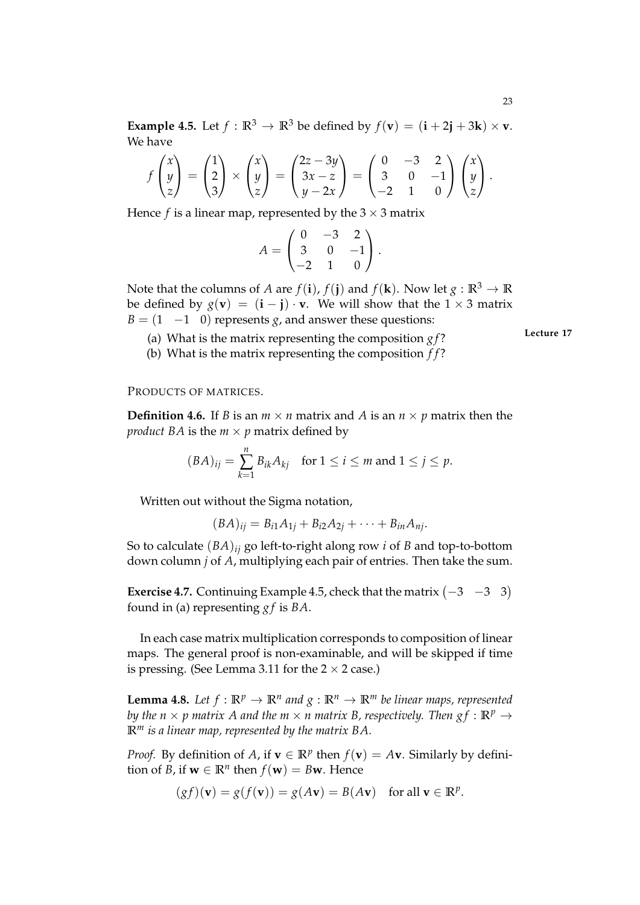$$
f\begin{pmatrix} x \\ y \\ z \end{pmatrix} = \begin{pmatrix} 1 \\ 2 \\ 3 \end{pmatrix} \times \begin{pmatrix} x \\ y \\ z \end{pmatrix} = \begin{pmatrix} 2z - 3y \\ 3x - z \\ y - 2x \end{pmatrix} = \begin{pmatrix} 0 & -3 & 2 \\ 3 & 0 & -1 \\ -2 & 1 & 0 \end{pmatrix} \begin{pmatrix} x \\ y \\ z \end{pmatrix}.
$$

Hence *f* is a linear map, represented by the  $3 \times 3$  matrix

$$
A = \begin{pmatrix} 0 & -3 & 2 \\ 3 & 0 & -1 \\ -2 & 1 & 0 \end{pmatrix}.
$$

Note that the columns of *A* are *f*(**i**), *f*(**j**) and *f*(**k**). Now let  $g : \mathbb{R}^3 \to \mathbb{R}$ be defined by  $g(\mathbf{v}) = (\mathbf{i} - \mathbf{j}) \cdot \mathbf{v}$ . We will show that the 1 × 3 matrix  $B = (1 \quad -1 \quad 0)$  represents *g*, and answer these questions:

- (a) What is the matrix representing the composition  $gf$ ?
- (b) What is the matrix representing the composition *f f* ?

PRODUCTS OF MATRICES.

**Definition 4.6.** If *B* is an  $m \times n$  matrix and *A* is an  $n \times p$  matrix then the *product BA* is the  $m \times p$  matrix defined by

$$
(BA)_{ij} = \sum_{k=1}^{n} B_{ik} A_{kj} \quad \text{for } 1 \le i \le m \text{ and } 1 \le j \le p.
$$

Written out without the Sigma notation,

 $(BA)_{ii} = B_{i1}A_{1i} + B_{i2}A_{2i} + \cdots + B_{in}A_{ni}.$ 

So to calculate (*BA*)*ij* go left-to-right along row *i* of *B* and top-to-bottom down column *j* of *A*, multiplying each pair of entries. Then take the sum.

**Exercise 4.7.** Continuing Example 4.5, check that the matrix  $(-3 \quad -3 \quad 3)$ found in (a) representing *g f* is *BA*.

In each case matrix multiplication corresponds to composition of linear maps. The general proof is non-examinable, and will be skipped if time is pressing. (See Lemma 3.11 for the  $2 \times 2$  case.)

**Lemma 4.8.** Let  $f : \mathbb{R}^p \to \mathbb{R}^n$  and  $g : \mathbb{R}^n \to \mathbb{R}^m$  be linear maps, represented *by the n*  $\times$  *p* matrix *A* and the *m*  $\times$  *n* matrix *B*, respectively. Then  $gf : \mathbb{R}^p \to$ **R***<sup>m</sup> is a linear map, represented by the matrix BA.*

*Proof.* By definition of *A*, if  $\mathbf{v} \in \mathbb{R}^p$  then  $f(\mathbf{v}) = A\mathbf{v}$ . Similarly by definition of *B*, if  $\mathbf{w} \in \mathbb{R}^n$  then  $f(\mathbf{w}) = B\mathbf{w}$ . Hence

$$
(gf)(\mathbf{v}) = g(f(\mathbf{v})) = g(A\mathbf{v}) = B(A\mathbf{v}) \text{ for all } \mathbf{v} \in \mathbb{R}^p.
$$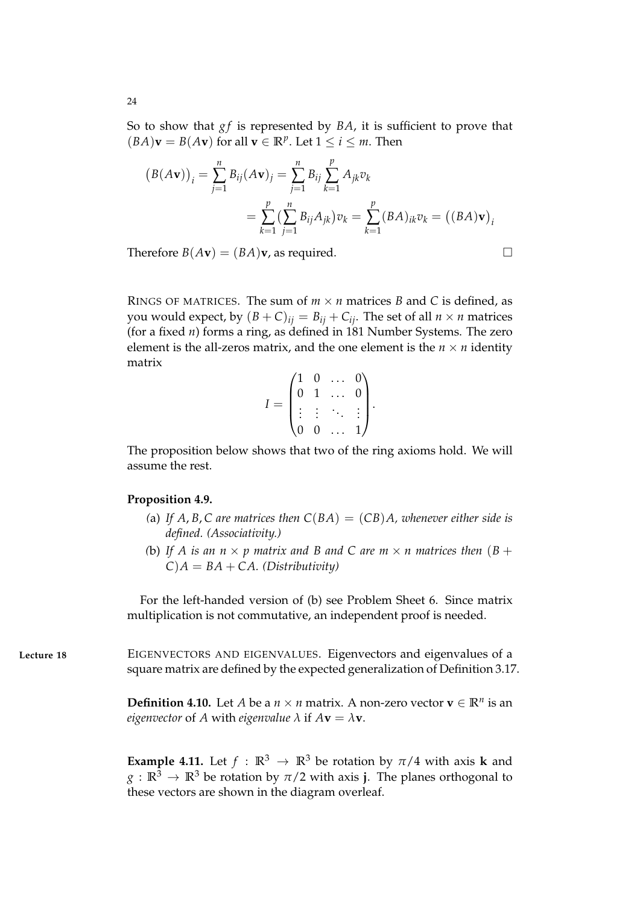So to show that *gf* is represented by *BA*, it is sufficient to prove that  $(BA)\mathbf{v} = B(A\mathbf{v})$  for all  $\mathbf{v} \in \mathbb{R}^p$ . Let  $1 \le i \le m$ . Then

$$
(B(A\mathbf{v}))_i = \sum_{j=1}^n B_{ij}(A\mathbf{v})_j = \sum_{j=1}^n B_{ij} \sum_{k=1}^p A_{jk} v_k
$$
  
= 
$$
\sum_{k=1}^p \left(\sum_{j=1}^n B_{ij} A_{jk}\right) v_k = \sum_{k=1}^p (BA)_{ik} v_k = ((BA)\mathbf{v})_i
$$

Therefore  $B(Av) = (BA)v$ , as required.

RINGS OF MATRICES. The sum of  $m \times n$  matrices *B* and *C* is defined, as you would expect, by  $(B+C)_{ij} = B_{ij} + C_{ij}$ . The set of all  $n \times n$  matrices (for a fixed *n*) forms a ring, as defined in 181 Number Systems. The zero element is the all-zeros matrix, and the one element is the  $n \times n$  identity matrix

$$
I = \begin{pmatrix} 1 & 0 & \dots & 0 \\ 0 & 1 & \dots & 0 \\ \vdots & \vdots & \ddots & \vdots \\ 0 & 0 & \dots & 1 \end{pmatrix}.
$$

The proposition below shows that two of the ring axioms hold. We will assume the rest.

### **Proposition 4.9.**

- (a) If A, B, C are matrices then  $C(BA) = (CB)A$ , whenever either side is *defined. (Associativity.)*
- *(b)* If A is an  $n \times p$  matrix and B and C are  $m \times n$  matrices then  $(B + p)$  $C$ ) $A = BA + CA$ . (Distributivity)

For the left-handed version of (b) see Problem Sheet 6. Since matrix multiplication is not commutative, an independent proof is needed.

**Lecture 18** EIGENVECTORS AND EIGENVALUES. Eigenvectors and eigenvalues of a square matrix are defined by the expected generalization of Definition 3.17.

> **Definition 4.10.** Let *A* be a  $n \times n$  matrix. A non-zero vector  $\mathbf{v} \in \mathbb{R}^n$  is an *eigenvector* of *A* with *eigenvalue*  $\lambda$  if  $A$ **v** =  $\lambda$ **v**.

> **Example 4.11.** Let  $f : \mathbb{R}^3 \to \mathbb{R}^3$  be rotation by  $\pi/4$  with axis **k** and  $g : \mathbb{R}^3 \to \mathbb{R}^3$  be rotation by  $\pi/2$  with axis **j**. The planes orthogonal to these vectors are shown in the diagram overleaf.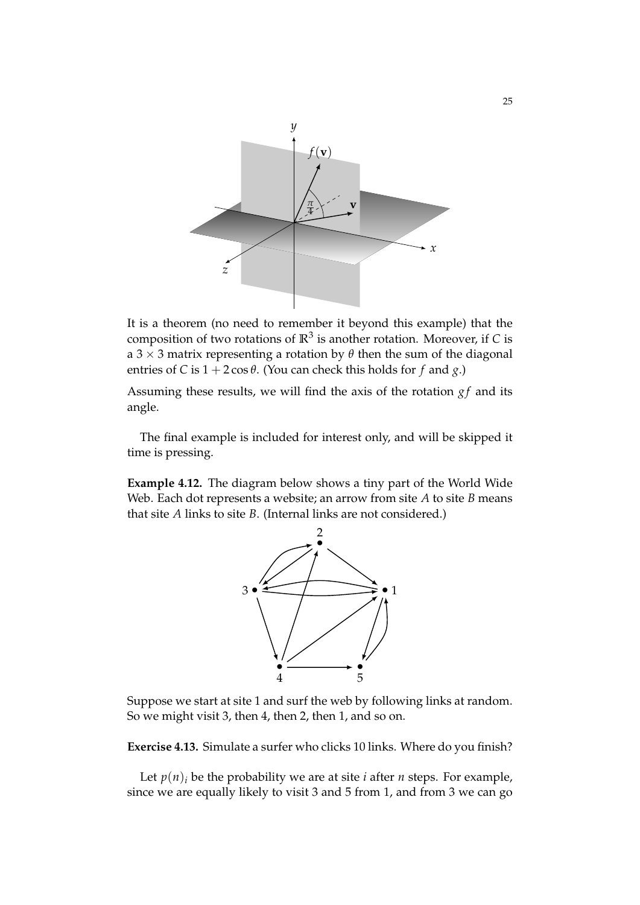

It is a theorem (no need to remember it beyond this example) that the composition of two rotations of  $\mathbb{R}^3$  is another rotation. Moreover, if *C* is a 3  $\times$  3 matrix representing a rotation by  $\theta$  then the sum of the diagonal entries of *C* is  $1 + 2\cos\theta$ . (You can check this holds for *f* and *g*.)

Assuming these results, we will find the axis of the rotation  $gf$  and its angle.

The final example is included for interest only, and will be skipped it time is pressing.

**Example 4.12.** The diagram below shows a tiny part of the World Wide Web. Each dot represents a website; an arrow from site *A* to site *B* means that site *A* links to site *B*. (Internal links are not considered.)



Suppose we start at site 1 and surf the web by following links at random. So we might visit 3, then 4, then 2, then 1, and so on.

**Exercise 4.13.** Simulate a surfer who clicks 10 links. Where do you finish?

Let  $p(n)$ <sup>*i*</sup> be the probability we are at site *i* after *n* steps. For example, since we are equally likely to visit 3 and 5 from 1, and from 3 we can go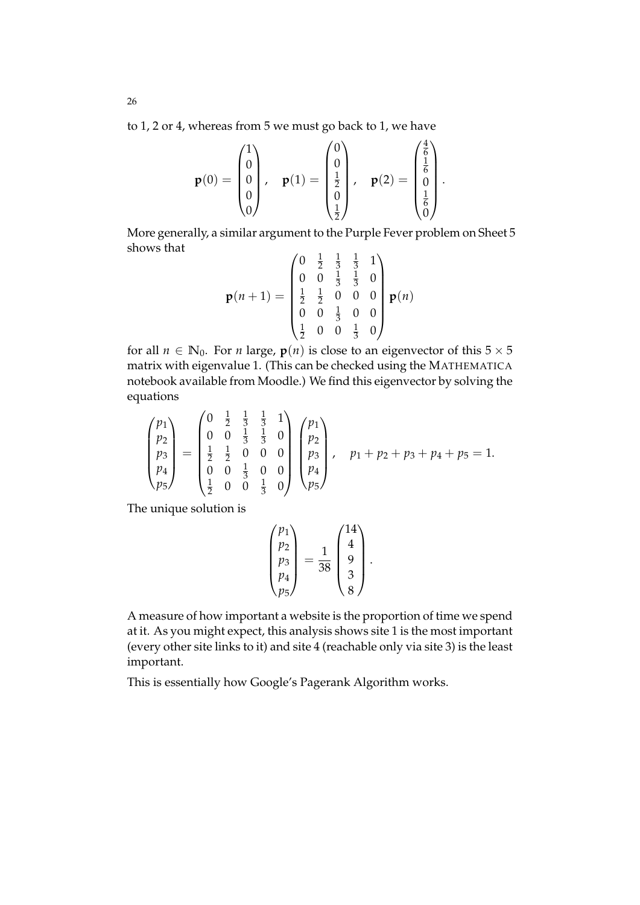to 1, 2 or 4, whereas from 5 we must go back to 1, we have

$$
\mathbf{p}(0) = \begin{pmatrix} 1 \\ 0 \\ 0 \\ 0 \\ 0 \end{pmatrix}, \quad \mathbf{p}(1) = \begin{pmatrix} 0 \\ 0 \\ \frac{1}{2} \\ 0 \\ \frac{1}{2} \end{pmatrix}, \quad \mathbf{p}(2) = \begin{pmatrix} \frac{4}{6} \\ \frac{1}{6} \\ 0 \\ \frac{1}{6} \\ 0 \end{pmatrix}.
$$

More generally, a similar argument to the Purple Fever problem on Sheet 5 shows that

$$
\mathbf{p}(n+1) = \begin{pmatrix} 0 & \frac{1}{2} & \frac{1}{3} & \frac{1}{3} & 1 \\ 0 & 0 & \frac{1}{3} & \frac{1}{3} & 0 \\ \frac{1}{2} & \frac{1}{2} & 0 & 0 & 0 \\ 0 & 0 & \frac{1}{3} & 0 & 0 \\ \frac{1}{2} & 0 & 0 & \frac{1}{3} & 0 \end{pmatrix} \mathbf{p}(n)
$$

for all  $n \in \mathbb{N}_0$ . For *n* large,  $p(n)$  is close to an eigenvector of this  $5 \times 5$ matrix with eigenvalue 1. (This can be checked using the MATHEMATICA notebook available from Moodle.) We find this eigenvector by solving the equations

$$
\begin{pmatrix} p_1 \\ p_2 \\ p_3 \\ p_4 \\ p_5 \end{pmatrix} = \begin{pmatrix} 0 & \frac{1}{2} & \frac{1}{3} & \frac{1}{3} & 1 \\ 0 & 0 & \frac{1}{3} & \frac{1}{3} & 0 \\ \frac{1}{2} & \frac{1}{2} & 0 & 0 & 0 \\ 0 & 0 & \frac{1}{3} & 0 & 0 \\ \frac{1}{2} & 0 & 0 & \frac{1}{3} & 0 \end{pmatrix} \begin{pmatrix} p_1 \\ p_2 \\ p_3 \\ p_4 \\ p_5 \end{pmatrix}, \quad p_1 + p_2 + p_3 + p_4 + p_5 = 1.
$$

The unique solution is

 $\overline{ }$ 

$$
\begin{pmatrix} p_1 \\ p_2 \\ p_3 \\ p_4 \\ p_5 \end{pmatrix} = \frac{1}{38} \begin{pmatrix} 14 \\ 4 \\ 9 \\ 3 \\ 8 \end{pmatrix}.
$$

A measure of how important a website is the proportion of time we spend at it. As you might expect, this analysis shows site 1 is the most important (every other site links to it) and site 4 (reachable only via site 3) is the least important.

This is essentially how Google's Pagerank Algorithm works.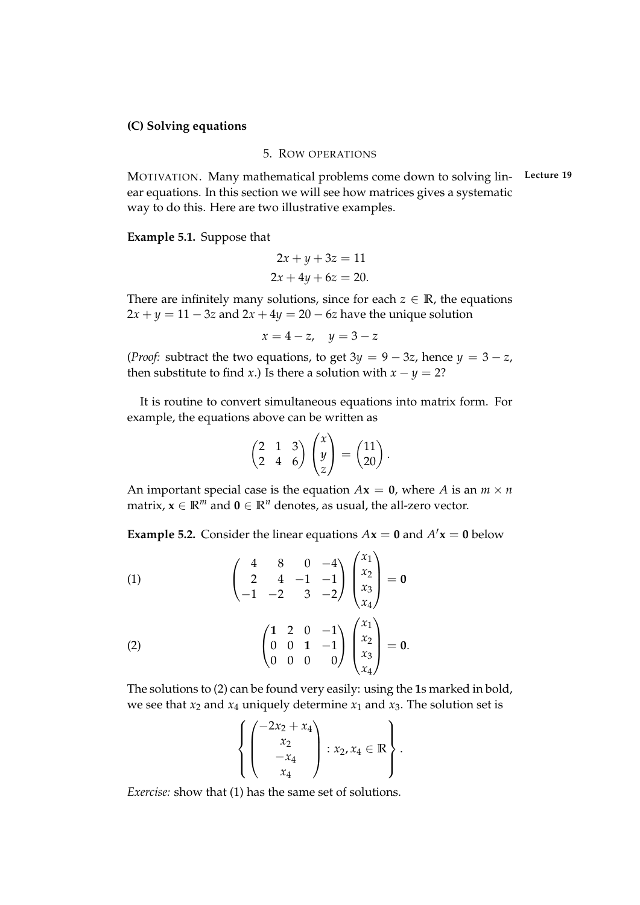### **(C) Solving equations**

### 5. ROW OPERATIONS

MOTIVATION. Many mathematical problems come down to solving lin- **Lecture 19** ear equations. In this section we will see how matrices gives a systematic way to do this. Here are two illustrative examples.

**Example 5.1.** Suppose that

$$
2x + y + 3z = 11
$$

$$
2x + 4y + 6z = 20.
$$

There are infinitely many solutions, since for each  $z \in \mathbb{R}$ , the equations  $2x + y = 11 - 3z$  and  $2x + 4y = 20 - 6z$  have the unique solution

$$
x=4-z, \quad y=3-z
$$

(*Proof:* subtract the two equations, to get  $3y = 9 - 3z$ , hence  $y = 3 - z$ , then substitute to find *x*.) Is there a solution with  $x - y = 2$ ?

It is routine to convert simultaneous equations into matrix form. For example, the equations above can be written as

$$
\begin{pmatrix} 2 & 1 & 3 \ 2 & 4 & 6 \end{pmatrix} \begin{pmatrix} x \\ y \\ z \end{pmatrix} = \begin{pmatrix} 11 \\ 20 \end{pmatrix}.
$$

An important special case is the equation  $Ax = 0$ , where *A* is an  $m \times n$ matrix,  $x \in \mathbb{R}^m$  and  $\mathbf{0} \in \mathbb{R}^n$  denotes, as usual, the all-zero vector.

**Example 5.2.** Consider the linear equations  $Ax = 0$  and  $A'x = 0$  below

(1)
$$
\begin{pmatrix} 4 & 8 & 0 & -4 \ 2 & 4 & -1 & -1 \ -1 & -2 & 3 & -2 \ \end{pmatrix} \begin{pmatrix} x_1 \ x_2 \ x_3 \ x_4 \end{pmatrix} = \mathbf{0}
$$

$$
\begin{pmatrix} 1 & 2 & 0 & -1 \ 0 & 0 & 1 & -1 \ 0 & 0 & 0 & 0 \ \end{pmatrix} \begin{pmatrix} x_1 \ x_2 \ x_3 \ x_4 \end{pmatrix} = \mathbf{0}.
$$

The solutions to (2) can be found very easily: using the **1**s marked in bold, we see that  $x_2$  and  $x_4$  uniquely determine  $x_1$  and  $x_3$ . The solution set is

$$
\left\{ \begin{pmatrix} -2x_2 + x_4 \\ x_2 \\ -x_4 \\ x_4 \end{pmatrix} : x_2, x_4 \in \mathbb{R} \right\}.
$$

*Exercise:* show that (1) has the same set of solutions.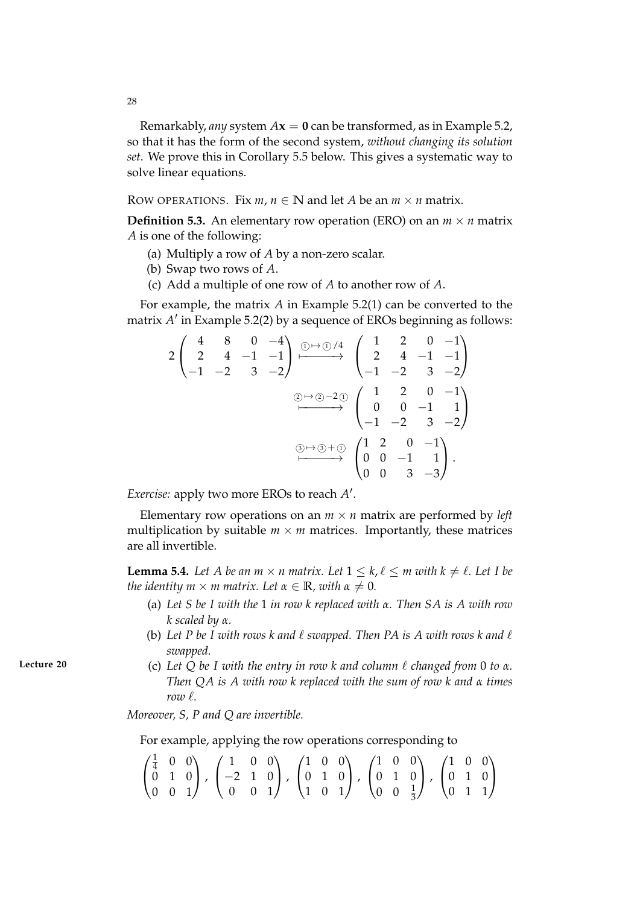Remarkably, *any* system  $Ax = 0$  can be transformed, as in Example 5.2, so that it has the form of the second system, *without changing its solution set*. We prove this in Corollary 5.5 below. This gives a systematic way to solve linear equations.

ROW OPERATIONS. Fix  $m, n \in \mathbb{N}$  and let *A* be an  $m \times n$  matrix.

**Definition 5.3.** An elementary row operation (ERO) on an  $m \times n$  matrix *A* is one of the following:

- (a) Multiply a row of *A* by a non-zero scalar.
- (b) Swap two rows of *A*.
- (c) Add a multiple of one row of *A* to another row of *A*.

For example, the matrix *A* in Example 5.2(1) can be converted to the matrix *A'* in Example 5.2(2) by a sequence of EROs beginning as follows:

$$
2\begin{pmatrix} 4 & 8 & 0 & -4 \ 2 & 4 & -1 & -1 \ -1 & -2 & 3 & -2 \ \end{pmatrix} \xrightarrow{\text{mod }4} \begin{pmatrix} 1 & 2 & 0 & -1 \ 2 & 4 & -1 & -1 \ -1 & -2 & 3 & -2 \ \end{pmatrix}
$$
  
\n
$$
\xrightarrow{\text{mod }4} \begin{pmatrix} 1 & 2 & 0 & -1 \ -1 & -2 & 3 & -2 \ \end{pmatrix}
$$
  
\n
$$
\xrightarrow{\text{mod }4} \begin{pmatrix} 1 & 2 & 0 & -1 \ 0 & 0 & -1 & 1 \ -1 & -2 & 3 & -2 \ \end{pmatrix}
$$
  
\n
$$
\xrightarrow{\text{mod }4} \begin{pmatrix} 1 & 2 & 0 & -1 \ 0 & 0 & -1 & 1 \ 0 & 0 & 3 & -3 \ \end{pmatrix}.
$$

*Exercise:* apply two more EROs to reach A'.

Elementary row operations on an  $m \times n$  matrix are performed by *left* multiplication by suitable  $m \times m$  matrices. Importantly, these matrices are all invertible.

**Lemma 5.4.** Let A be an  $m \times n$  matrix. Let  $1 \leq k, \ell \leq m$  with  $k \neq \ell$ . Let I be *the identity m*  $\times$  *m* matrix. Let  $\alpha \in \mathbb{R}$ *, with*  $\alpha \neq 0$ *.* 

- (a) *Let S be I with the* 1 *in row k replaced with α. Then SA is A with row k scaled by α.*
- (b) Let P be I with rows k and  $\ell$  *swapped. Then PA is A with rows k and*  $\ell$ *swapped.*
- **Lecture 20** (c) Let Q be I with the entry in row k and column  $\ell$  changed from 0 to  $\alpha$ . *Then QA is A with row k replaced with the sum of row k and α times row*  $\ell$ *.*

*Moreover, S, P and Q are invertible.*

For example, applying the row operations corresponding to

$$
\begin{pmatrix} \frac{1}{4} & 0 & 0 \\ 0 & 1 & 0 \\ 0 & 0 & 1 \end{pmatrix}, \begin{pmatrix} 1 & 0 & 0 \\ -2 & 1 & 0 \\ 0 & 0 & 1 \end{pmatrix}, \begin{pmatrix} 1 & 0 & 0 \\ 0 & 1 & 0 \\ 1 & 0 & 1 \end{pmatrix}, \begin{pmatrix} 1 & 0 & 0 \\ 0 & 1 & 0 \\ 0 & 0 & \frac{1}{3} \end{pmatrix}, \begin{pmatrix} 1 & 0 & 0 \\ 0 & 1 & 0 \\ 0 & 1 & 1 \end{pmatrix}
$$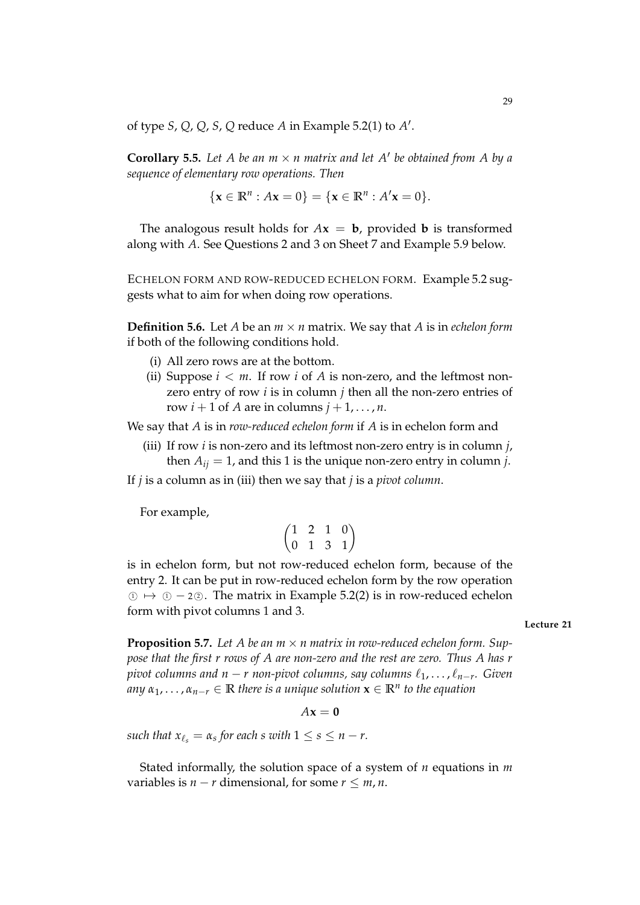of type *S*, *Q*, *Q*, *S*, *Q* reduce *A* in Example 5.2(1) to *A* 0 .

**Corollary 5.5.** Let A be an  $m \times n$  matrix and let A' be obtained from A by a *sequence of elementary row operations. Then*

$$
\{x \in \mathbb{R}^n : Ax = 0\} = \{x \in \mathbb{R}^n : A'x = 0\}.
$$

The analogous result holds for  $A$ **x** = **b**, provided **b** is transformed along with *A*. See Questions 2 and 3 on Sheet 7 and Example 5.9 below.

ECHELON FORM AND ROW-REDUCED ECHELON FORM. Example 5.2 suggests what to aim for when doing row operations.

**Definition 5.6.** Let *A* be an  $m \times n$  matrix. We say that *A* is in *echelon form* if both of the following conditions hold.

- (i) All zero rows are at the bottom.
- (ii) Suppose  $i < m$ . If row *i* of *A* is non-zero, and the leftmost nonzero entry of row *i* is in column *j* then all the non-zero entries of row  $i + 1$  of A are in columns  $j + 1, \ldots, n$ .

We say that *A* is in *row-reduced echelon form* if *A* is in echelon form and

(iii) If row *i* is non-zero and its leftmost non-zero entry is in column *j*, then  $A_{ij} = 1$ , and this 1 is the unique non-zero entry in column *j*.

If *j* is a column as in (iii) then we say that *j* is a *pivot column*.

For example,

$$
\begin{pmatrix}\n1 & 2 & 1 & 0 \\
0 & 1 & 3 & 1\n\end{pmatrix}
$$

is in echelon form, but not row-reduced echelon form, because of the entry 2. It can be put in row-reduced echelon form by the row operation  $\textcircled{1} \mapsto \textcircled{2} - 2 \textcircled{3}$ . The matrix in Example 5.2(2) is in row-reduced echelon form with pivot columns 1 and 3.

**Lecture 21**

**Proposition 5.7.** Let A be an  $m \times n$  matrix in row-reduced echelon form. Sup*pose that the first r rows of A are non-zero and the rest are zero. Thus A has r pivot columns and n − r non-pivot columns, say columns*  $\ell_1, \ldots, \ell_{n-r}$ *. Given*  $a_n, a_{n-1}, \ldots, a_{n-r} \in \mathbb{R}$  there is a unique solution  $\mathbf{x} \in \mathbb{R}^n$  to the equation

 $A$ **x** = 0

*such that*  $x_{\ell_s} = \alpha_s$  *for each s with*  $1 \leq s \leq n-r$ .

Stated informally, the solution space of a system of *n* equations in *m* variables is  $n - r$  dimensional, for some  $r \leq m, n$ .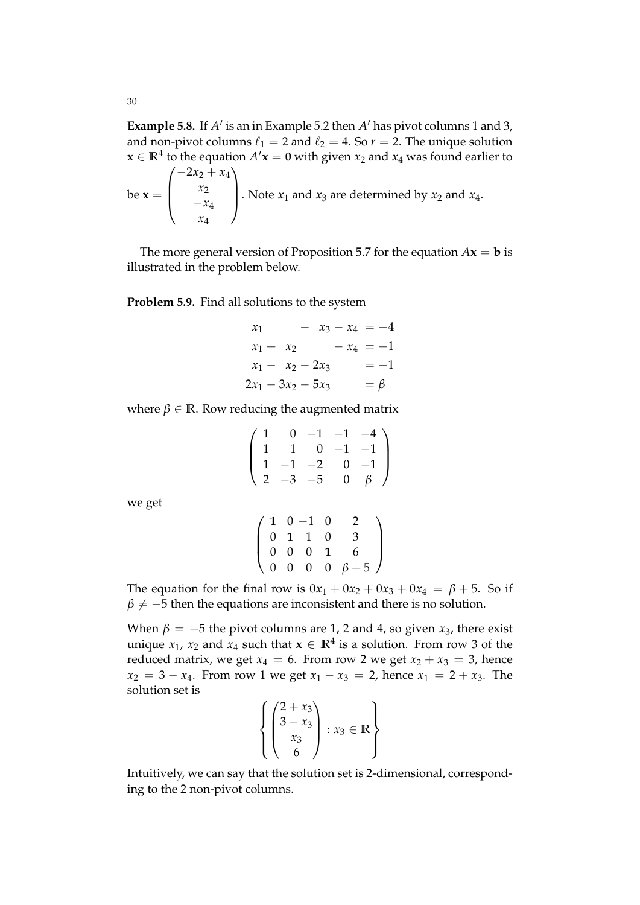**Example 5.8.** If  $A'$  is an in Example 5.2 then  $A'$  has pivot columns 1 and 3, and non-pivot columns  $\ell_1 = 2$  and  $\ell_2 = 4$ . So  $r = 2$ . The unique solution **x** ∈  $\mathbb{R}^4$  to the equation  $A'$ **x** = **0** with given  $x_2$  and  $x_4$  was found earlier to

be 
$$
\mathbf{x} = \begin{pmatrix} -2x_2 + x_4 \\ x_2 \\ -x_4 \\ x_4 \end{pmatrix}
$$
. Note  $x_1$  and  $x_3$  are determined by  $x_2$  and  $x_4$ .

The more general version of Proposition 5.7 for the equation  $A$ **x** = **b** is illustrated in the problem below.

### **Problem 5.9.** Find all solutions to the system

$$
x_1 - x_3 - x_4 = -4
$$
  
\n
$$
x_1 + x_2 - x_4 = -1
$$
  
\n
$$
x_1 - x_2 - 2x_3 = -1
$$
  
\n
$$
2x_1 - 3x_2 - 5x_3 = \beta
$$

where  $\beta \in \mathbb{R}$ . Row reducing the augmented matrix

$$
\left(\begin{array}{rrrrr} 1 & 0 & -1 & -1 & -4 \\ 1 & 1 & 0 & -1 & -1 \\ 1 & -1 & -2 & 0 & -1 \\ 2 & -3 & -5 & 0 & \beta \end{array}\right)
$$

we get

$$
\left(\n\begin{array}{cccc|c}\n1 & 0 & -1 & 0 & 2 \\
0 & 1 & 1 & 0 & 3 \\
0 & 0 & 0 & 1 & 6 \\
0 & 0 & 0 & 0 & \beta+5\n\end{array}\n\right)
$$

The equation for the final row is  $0x_1 + 0x_2 + 0x_3 + 0x_4 = \beta + 5$ . So if  $\beta \neq -5$  then the equations are inconsistent and there is no solution.

When  $\beta = -5$  the pivot columns are 1, 2 and 4, so given  $x_3$ , there exist unique *x*<sub>1</sub>, *x*<sub>2</sub> and *x*<sub>4</sub> such that  $\mathbf{x} \in \mathbb{R}^4$  is a solution. From row 3 of the reduced matrix, we get  $x_4 = 6$ . From row 2 we get  $x_2 + x_3 = 3$ , hence  $x_2 = 3 - x_4$ . From row 1 we get  $x_1 - x_3 = 2$ , hence  $x_1 = 2 + x_3$ . The solution set is

$$
\left\{ \begin{pmatrix} 2+x_3 \\ 3-x_3 \\ x_3 \\ 6 \end{pmatrix} : x_3 \in \mathbb{R} \right\}
$$

Intuitively, we can say that the solution set is 2-dimensional, corresponding to the 2 non-pivot columns.

30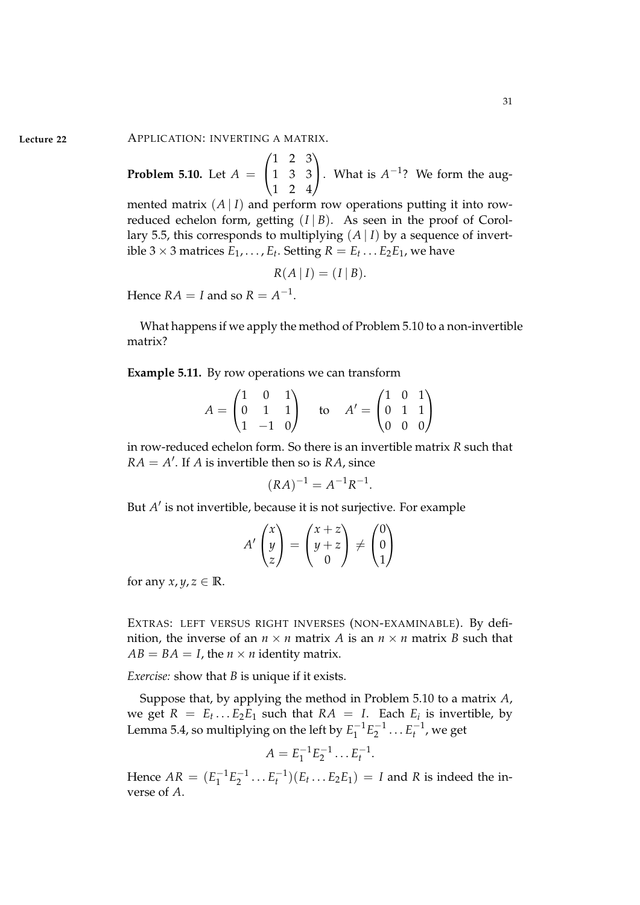**Lecture 22** APPLICATION: INVERTING A MATRIX.

**Problem 5.10.** Let *A* =  $\sqrt{ }$  $\mathbf{I}$ 1 2 3 1 3 3 1 2 4  $\overline{ }$ . What is  $A^{-1}$ ? We form the aug-

mented matrix  $(A | I)$  and perform row operations putting it into rowreduced echelon form, getting  $(I | B)$ . As seen in the proof of Corollary 5.5, this corresponds to multiplying  $(A | I)$  by a sequence of invertible 3  $\times$  3 matrices  $E_1, \ldots, E_t$ . Setting  $R = E_t \ldots E_2 E_1$ , we have

$$
R(A | I) = (I | B).
$$

Hence  $RA = I$  and so  $R = A^{-1}$ .

What happens if we apply the method of Problem 5.10 to a non-invertible matrix?

**Example 5.11.** By row operations we can transform

$$
A = \begin{pmatrix} 1 & 0 & 1 \\ 0 & 1 & 1 \\ 1 & -1 & 0 \end{pmatrix} \text{ to } A' = \begin{pmatrix} 1 & 0 & 1 \\ 0 & 1 & 1 \\ 0 & 0 & 0 \end{pmatrix}
$$

in row-reduced echelon form. So there is an invertible matrix *R* such that  $RA = A'$ . If *A* is invertible then so is *RA*, since

$$
(RA)^{-1} = A^{-1}R^{-1}.
$$

But *A'* is not invertible*,* because it is not surjective. For example

$$
A'\begin{pmatrix} x \\ y \\ z \end{pmatrix} = \begin{pmatrix} x+z \\ y+z \\ 0 \end{pmatrix} \neq \begin{pmatrix} 0 \\ 0 \\ 1 \end{pmatrix}
$$

for any  $x, y, z \in \mathbb{R}$ .

EXTRAS: LEFT VERSUS RIGHT INVERSES (NON-EXAMINABLE). By definition, the inverse of an  $n \times n$  matrix *A* is an  $n \times n$  matrix *B* such that  $AB = BA = I$ , the  $n \times n$  identity matrix.

*Exercise:* show that *B* is unique if it exists.

Suppose that, by applying the method in Problem 5.10 to a matrix *A*, we get  $R = E_t \dots E_2 E_1$  such that  $RA = I$ . Each  $E_i$  is invertible, by Lemma 5.4, so multiplying on the left by  $E_1^{-1}E_2^{-1}$  . . .  $E_t^{-1}$ , we get

$$
A = E_1^{-1} E_2^{-1} \dots E_t^{-1}.
$$

Hence  $AR = (E_1^{-1}E_2^{-1} \dots E_t^{-1})(E_t \dots E_2 E_1) = I$  and *R* is indeed the inverse of *A*.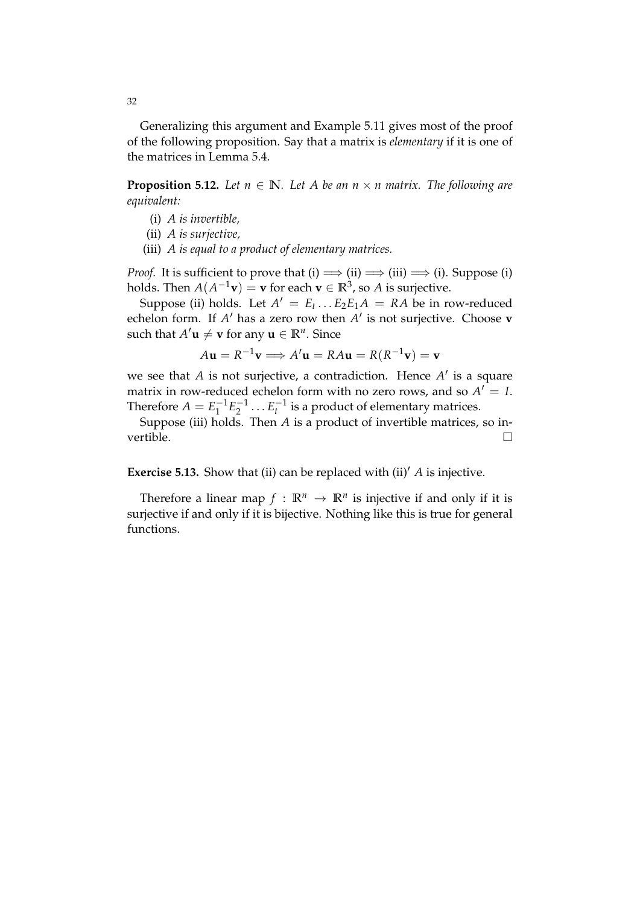Generalizing this argument and Example 5.11 gives most of the proof of the following proposition. Say that a matrix is *elementary* if it is one of the matrices in Lemma 5.4.

**Proposition 5.12.** Let  $n \in \mathbb{N}$ . Let A be an  $n \times n$  matrix. The following are *equivalent:*

- (i) *A is invertible,*
- (ii) *A is surjective,*
- (iii) *A is equal to a product of elementary matrices.*

*Proof.* It is sufficient to prove that (i)  $\implies$  (ii)  $\implies$  (iii)  $\implies$  (i). Suppose (i) holds. Then  $A(A^{-1}\mathbf{v}) = \mathbf{v}$  for each  $\mathbf{v} \in \mathbb{R}^3$ , so *A* is surjective.

Suppose (ii) holds. Let  $A' = E_t \dots E_2 E_1 A = R A$  be in row-reduced echelon form. If  $A'$  has a zero row then  $A'$  is not surjective. Choose **v** such that  $A'$ **u**  $\neq$  **v** for any **u**  $\in \mathbb{R}^n$ . Since

$$
A\mathbf{u} = R^{-1}\mathbf{v} \Longrightarrow A'\mathbf{u} = RA\mathbf{u} = R(R^{-1}\mathbf{v}) = \mathbf{v}
$$

we see that *A* is not surjective, a contradiction. Hence *A'* is a square matrix in row-reduced echelon form with no zero rows, and so  $A' = I$ . Therefore  $A = E_1^{-1}E_2^{-1} \dots E_t^{-1}$  is a product of elementary matrices.

Suppose (iii) holds. Then  $A$  is a product of invertible matrices, so invertible.  $\Box$ 

**Exercise 5.13.** Show that (ii) can be replaced with (ii)<sup> $\Lambda$ </sup> *A* is injective.

Therefore a linear map  $f : \mathbb{R}^n \to \mathbb{R}^n$  is injective if and only if it is surjective if and only if it is bijective. Nothing like this is true for general functions.

32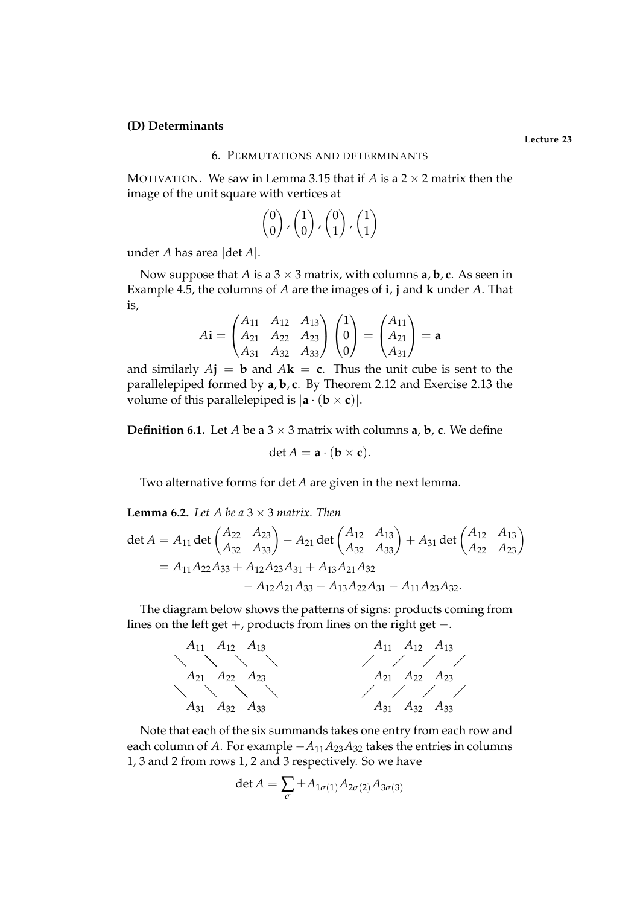### **(D) Determinants**

### 6. PERMUTATIONS AND DETERMINANTS

MOTIVATION. We saw in Lemma 3.15 that if *A* is a  $2 \times 2$  matrix then the image of the unit square with vertices at

$$
\begin{pmatrix} 0 \\ 0 \end{pmatrix}, \begin{pmatrix} 1 \\ 0 \end{pmatrix}, \begin{pmatrix} 0 \\ 1 \end{pmatrix}, \begin{pmatrix} 1 \\ 1 \end{pmatrix}
$$

under *A* has area |det *A*|.

Now suppose that *A* is a  $3 \times 3$  matrix, with columns **a**, **b**, **c**. As seen in Example 4.5, the columns of *A* are the images of **i**, **j** and **k** under *A*. That is,

$$
A\mathbf{i} = \begin{pmatrix} A_{11} & A_{12} & A_{13} \\ A_{21} & A_{22} & A_{23} \\ A_{31} & A_{32} & A_{33} \end{pmatrix} \begin{pmatrix} 1 \\ 0 \\ 0 \end{pmatrix} = \begin{pmatrix} A_{11} \\ A_{21} \\ A_{31} \end{pmatrix} = \mathbf{a}
$$

and similarly  $A$ **j** = **b** and  $A$ **k** = **c**. Thus the unit cube is sent to the parallelepiped formed by **a**, **b**, **c**. By Theorem 2.12 and Exercise 2.13 the volume of this parallelepiped is  $|\mathbf{a} \cdot (\mathbf{b} \times \mathbf{c})|$ .

**Definition 6.1.** Let *A* be a  $3 \times 3$  matrix with columns **a**, **b**, **c**. We define

$$
\det A = \mathbf{a} \cdot (\mathbf{b} \times \mathbf{c}).
$$

Two alternative forms for det *A* are given in the next lemma.

**Lemma 6.2.** *Let A be a*  $3 \times 3$  *matrix. Then* 

$$
\det A = A_{11} \det \begin{pmatrix} A_{22} & A_{23} \ A_{32} & A_{33} \end{pmatrix} - A_{21} \det \begin{pmatrix} A_{12} & A_{13} \ A_{32} & A_{33} \end{pmatrix} + A_{31} \det \begin{pmatrix} A_{12} & A_{13} \ A_{22} & A_{23} \end{pmatrix}
$$
  
=  $A_{11}A_{22}A_{33} + A_{12}A_{23}A_{31} + A_{13}A_{21}A_{32}$   
-  $A_{12}A_{21}A_{33} - A_{13}A_{22}A_{31} - A_{11}A_{23}A_{32}.$ 

The diagram below shows the patterns of signs: products coming from lines on the left get  $+$ , products from lines on the right get  $-$ .



Note that each of the six summands takes one entry from each row and each column of *A*. For example  $-A_{11}A_{23}A_{32}$  takes the entries in columns 1, 3 and 2 from rows 1, 2 and 3 respectively. So we have

$$
\det A = \sum_{\sigma} \pm A_{1\sigma(1)} A_{2\sigma(2)} A_{3\sigma(3)}
$$

**Lecture 23**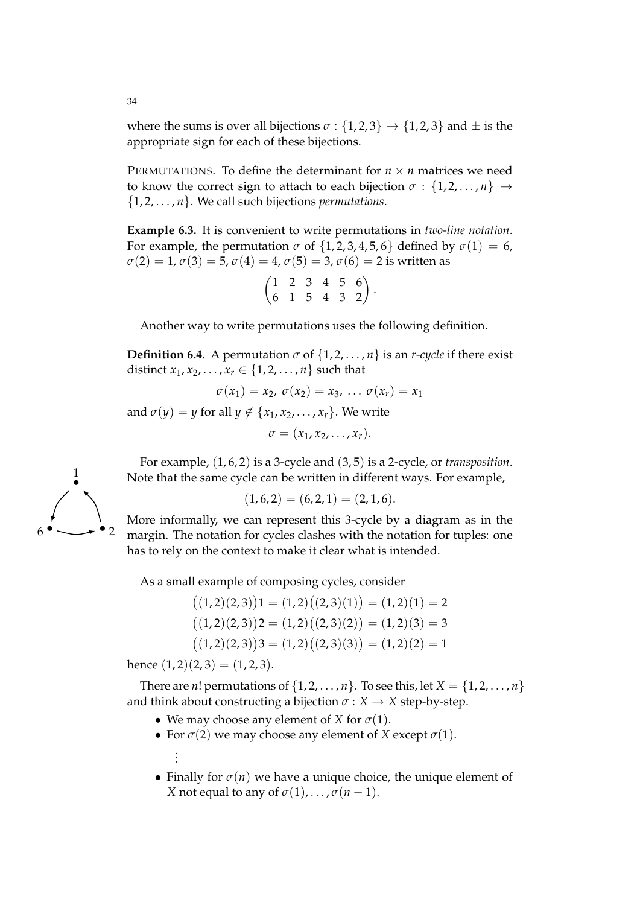where the sums is over all bijections  $\sigma$  : {1, 2, 3}  $\rightarrow$  {1, 2, 3} and  $\pm$  is the appropriate sign for each of these bijections.

PERMUTATIONS. To define the determinant for  $n \times n$  matrices we need to know the correct sign to attach to each bijection  $\sigma : \{1, 2, ..., n\} \rightarrow$ {1, 2, . . . , *n*}. We call such bijections *permutations*.

**Example 6.3.** It is convenient to write permutations in *two-line notation*. For example, the permutation  $\sigma$  of  $\{1, 2, 3, 4, 5, 6\}$  defined by  $\sigma(1) = 6$ ,  $\sigma(2) = 1, \sigma(3) = 5, \sigma(4) = 4, \sigma(5) = 3, \sigma(6) = 2$  is written as

|  |  | $(1 \t2 \t3 \t4 \t5 \t6)$  |  |
|--|--|----------------------------|--|
|  |  | $(6 \t1 \t5 \t4 \t3 \t2)'$ |  |

Another way to write permutations uses the following definition.

**Definition 6.4.** A permutation  $\sigma$  of  $\{1, 2, ..., n\}$  is an *r-cycle* if there exist distinct  $x_1, x_2, ..., x_r \in \{1, 2, ..., n\}$  such that

$$
\sigma(x_1)=x_2, \sigma(x_2)=x_3, \ldots \sigma(x_r)=x_1
$$

and  $\sigma(y) = y$  for all  $y \notin \{x_1, x_2, \ldots, x_r\}$ . We write

$$
\sigma=(x_1,x_2,\ldots,x_r).
$$

For example, (1, 6, 2) is a 3-cycle and (3, 5) is a 2-cycle, or *transposition*. Note that the same cycle can be written in different ways. For example,

$$
(1,6,2) = (6,2,1) = (2,1,6).
$$

More informally, we can represent this 3-cycle by a diagram as in the margin. The notation for cycles clashes with the notation for tuples: one has to rely on the context to make it clear what is intended.

As a small example of composing cycles, consider

$$
((1,2)(2,3))1 = (1,2)((2,3)(1)) = (1,2)(1) = 2
$$

$$
((1,2)(2,3))2 = (1,2)((2,3)(2)) = (1,2)(3) = 3
$$

$$
((1,2)(2,3))3 = (1,2)((2,3)(3)) = (1,2)(2) = 1
$$

hence  $(1, 2)(2, 3) = (1, 2, 3)$ .

There are *n*! permutations of  $\{1, 2, \ldots, n\}$ . To see this, let  $X = \{1, 2, \ldots, n\}$ and think about constructing a bijection  $\sigma : X \to X$  step-by-step.

- We may choose any element of *X* for  $\sigma(1)$ .
- For  $\sigma(2)$  we may choose any element of *X* except  $\sigma(1)$ . . . .
- Finally for  $\sigma(n)$  we have a unique choice, the unique element of *X* not equal to any of  $\sigma(1)$ , ...,  $\sigma(n-1)$ .

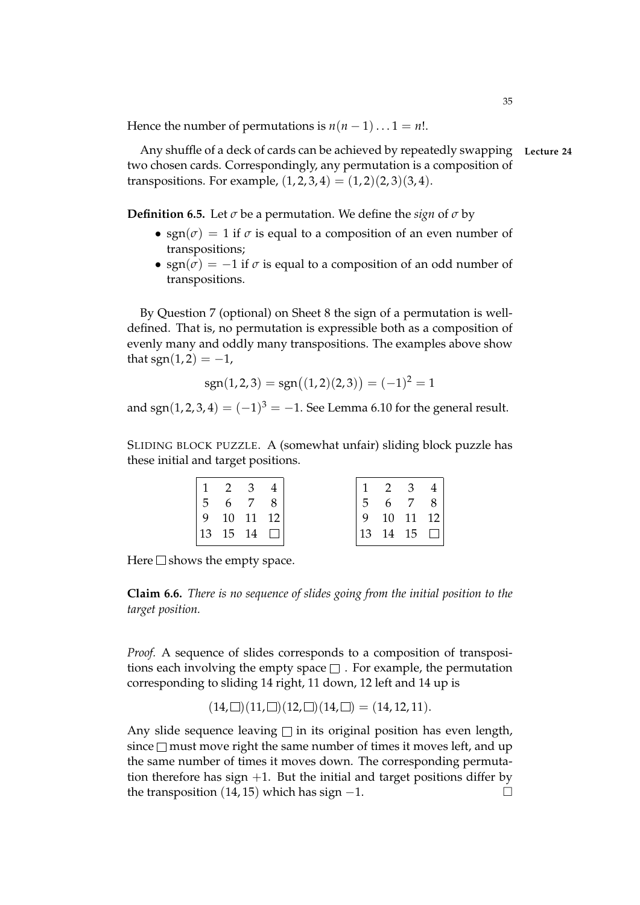Hence the number of permutations is  $n(n-1)...1 = n!$ .

Any shuffle of a deck of cards can be achieved by repeatedly swapping **Lecture 24** two chosen cards. Correspondingly, any permutation is a composition of transpositions. For example,  $(1, 2, 3, 4) = (1, 2)(2, 3)(3, 4)$ .

**Definition 6.5.** Let  $\sigma$  be a permutation. We define the *sign* of  $\sigma$  by

- sgn( $\sigma$ ) = 1 if  $\sigma$  is equal to a composition of an even number of transpositions;
- sgn( $\sigma$ ) =  $-1$  if  $\sigma$  is equal to a composition of an odd number of transpositions.

By Question 7 (optional) on Sheet 8 the sign of a permutation is welldefined. That is, no permutation is expressible both as a composition of evenly many and oddly many transpositions. The examples above show that  $sgn(1,2) = -1$ ,

$$
sgn(1,2,3) = sgn\big((1,2)(2,3)\big) = (-1)^2 = 1
$$

and sgn $(1, 2, 3, 4) = (-1)^3 = -1$ . See Lemma 6.10 for the general result.

SLIDING BLOCK PUZZLE. A (somewhat unfair) sliding block puzzle has these initial and target positions.

| $\begin{array}{cccc} 1 & 2 & 3 & 4 \end{array}$  |  |                 | $\begin{array}{cccccc} 1 & 2 & 3 & 4 \end{array}$ |       |  |
|--------------------------------------------------|--|-----------------|---------------------------------------------------|-------|--|
| $\begin{array}{cccc} 5 & 6 & 7 & 8 \end{array}$  |  | $5\overline{)}$ |                                                   | 6 7 8 |  |
| $\begin{vmatrix} 9 & 10 & 11 & 12 \end{vmatrix}$ |  |                 | $9 \t10 \t11 \t12$                                |       |  |
| $ 13 \t15 \t14 \t \square $                      |  |                 | $ 13 \t14 \t15 \t $                               |       |  |

Here  $\square$  shows the empty space.

**Claim 6.6.** *There is no sequence of slides going from the initial position to the target position.*

*Proof.* A sequence of slides corresponds to a composition of transpositions each involving the empty space  $\square$ . For example, the permutation corresponding to sliding 14 right, 11 down, 12 left and 14 up is

$$
(14,\square)(11,\square)(12,\square)(14,\square)=(14,12,11).
$$

Any slide sequence leaving  $\square$  in its original position has even length, since  $\square$  must move right the same number of times it moves left, and up the same number of times it moves down. The corresponding permutation therefore has sign  $+1$ . But the initial and target positions differ by the transposition  $(14, 15)$  which has sign  $-1$ .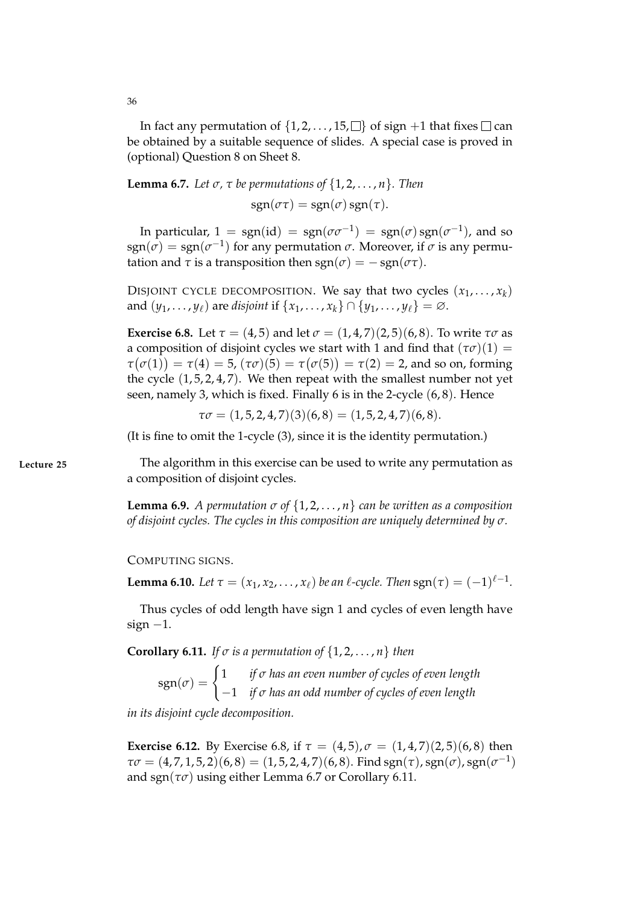In fact any permutation of  $\{1, 2, \ldots, 15, \square\}$  of sign  $+1$  that fixes  $\square$  can be obtained by a suitable sequence of slides. A special case is proved in (optional) Question 8 on Sheet 8.

**Lemma 6.7.** Let  $\sigma$ ,  $\tau$  be permutations of  $\{1, 2, \ldots, n\}$ . Then

 $sgn(\sigma\tau) = sgn(\sigma) sgn(\tau)$ .

In particular,  $1 = \text{sgn}(\text{id}) = \text{sgn}(\sigma \sigma^{-1}) = \text{sgn}(\sigma) \text{sgn}(\sigma^{-1})$ , and so  $sgn(\sigma) = sgn(\sigma^{-1})$  for any permutation  $\sigma$ . Moreover, if  $\sigma$  is any permutation and  $\tau$  is a transposition then  $sgn(\sigma) = -sgn(\sigma \tau)$ .

DISJOINT CYCLE DECOMPOSITION. We say that two cycles  $(x_1, \ldots, x_k)$ and  $(y_1, \ldots, y_\ell)$  are *disjoint* if  $\{x_1, \ldots, x_k\} \cap \{y_1, \ldots, y_\ell\} = \varnothing$ .

**Exercise 6.8.** Let  $\tau = (4, 5)$  and let  $\sigma = (1, 4, 7)(2, 5)(6, 8)$ . To write  $\tau\sigma$  as a composition of disjoint cycles we start with 1 and find that  $(\tau \sigma)(1)$  = *τ*( $\sigma$ (1)) = *τ*(4) = 5, ( $\tau$  $\sigma$ )(5) = *τ*( $\sigma$ (5)) = *τ*(2) = 2, and so on, forming the cycle  $(1, 5, 2, 4, 7)$ . We then repeat with the smallest number not yet seen, namely 3, which is fixed. Finally 6 is in the 2-cycle (6, 8). Hence

 $\tau\sigma = (1, 5, 2, 4, 7)(3)(6, 8) = (1, 5, 2, 4, 7)(6, 8).$ 

(It is fine to omit the 1-cycle (3), since it is the identity permutation.)

**Lecture 25** The algorithm in this exercise can be used to write any permutation as a composition of disjoint cycles.

> **Lemma 6.9.** *A permutation*  $\sigma$  of  $\{1, 2, \ldots, n\}$  can be written as a composition *of disjoint cycles. The cycles in this composition are uniquely determined by σ.*

COMPUTING SIGNS.

**Lemma 6.10.** *Let*  $\tau = (x_1, x_2, \ldots, x_\ell)$  *be an*  $\ell$ *-cycle. Then*  $sgn(\tau) = (-1)^{\ell-1}$ *.* 

Thus cycles of odd length have sign 1 and cycles of even length have sign  $-1$ .

**Corollary 6.11.** *If*  $\sigma$  *is a permutation of*  $\{1, 2, \ldots, n\}$  *then* 

 $sgn(\sigma) = \begin{cases} 1 & \text{if } \sigma \text{ has an even number of cycles of even length} \\ 1 & \text{if } \sigma \text{ has an even number of cycles of even length} \end{cases}$ −1 *if σ has an odd number of cycles of even length*

*in its disjoint cycle decomposition.*

**Exercise 6.12.** By Exercise 6.8, if  $\tau = (4, 5)$ ,  $\sigma = (1, 4, 7)(2, 5)(6, 8)$  then  $\tau\sigma = (4, 7, 1, 5, 2)(6, 8) = (1, 5, 2, 4, 7)(6, 8)$ . Find sgn $(\tau)$ , sgn $(\sigma)$ , sgn $(\sigma^{-1})$ and sgn( $\tau\sigma$ ) using either Lemma 6.7 or Corollary 6.11.

36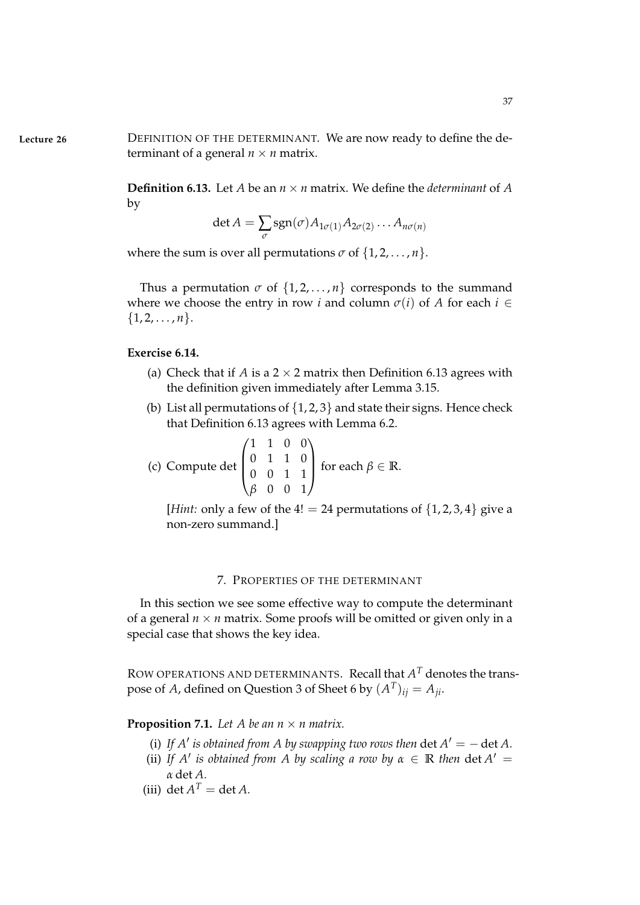**Lecture 26** DEFINITION OF THE DETERMINANT. We are now ready to define the determinant of a general  $n \times n$  matrix.

> **Definition 6.13.** Let *A* be an  $n \times n$  matrix. We define the *determinant* of *A* by

$$
\det A = \sum_{\sigma} \text{sgn}(\sigma) A_{1\sigma(1)} A_{2\sigma(2)} \dots A_{n\sigma(n)}
$$

where the sum is over all permutations  $\sigma$  of  $\{1, 2, \ldots, n\}$ .

Thus a permutation  $\sigma$  of  $\{1, 2, ..., n\}$  corresponds to the summand where we choose the entry in row *i* and column  $\sigma(i)$  of *A* for each  $i \in$  $\{1, 2, \ldots, n\}.$ 

### **Exercise 6.14.**

- (a) Check that if *A* is a  $2 \times 2$  matrix then Definition 6.13 agrees with the definition given immediately after Lemma 3.15.
- (b) List all permutations of  $\{1, 2, 3\}$  and state their signs. Hence check that Definition 6.13 agrees with Lemma 6.2.

(c) Compute det 
$$
\begin{pmatrix} 1 & 1 & 0 & 0 \\ 0 & 1 & 1 & 0 \\ 0 & 0 & 1 & 1 \\ \beta & 0 & 0 & 1 \end{pmatrix}
$$
 for each  $\beta \in \mathbb{R}$ .

[*Hint:* only a few of the  $4! = 24$  permutations of  $\{1, 2, 3, 4\}$  give a non-zero summand.]

#### 7. PROPERTIES OF THE DETERMINANT

In this section we see some effective way to compute the determinant of a general  $n \times n$  matrix. Some proofs will be omitted or given only in a special case that shows the key idea.

ROW OPERATIONS AND DETERMINANTS. Recall that  $A<sup>T</sup>$  denotes the transpose of *A*, defined on Question 3 of Sheet 6 by  $(A^T)_{ij} = A_{ji}$ .

**Proposition 7.1.** Let A be an  $n \times n$  matrix.

- (i) If  $A'$  is obtained from  $A$  by swapping two rows then  $\det A' = -\det A$ .
- (ii) If  $A'$  is obtained from  $A$  by scaling a row by  $\alpha \in \mathbb{R}$  then  $\det A' =$ *α* det *A.*
- (iii) det  $A^T = \det A$ .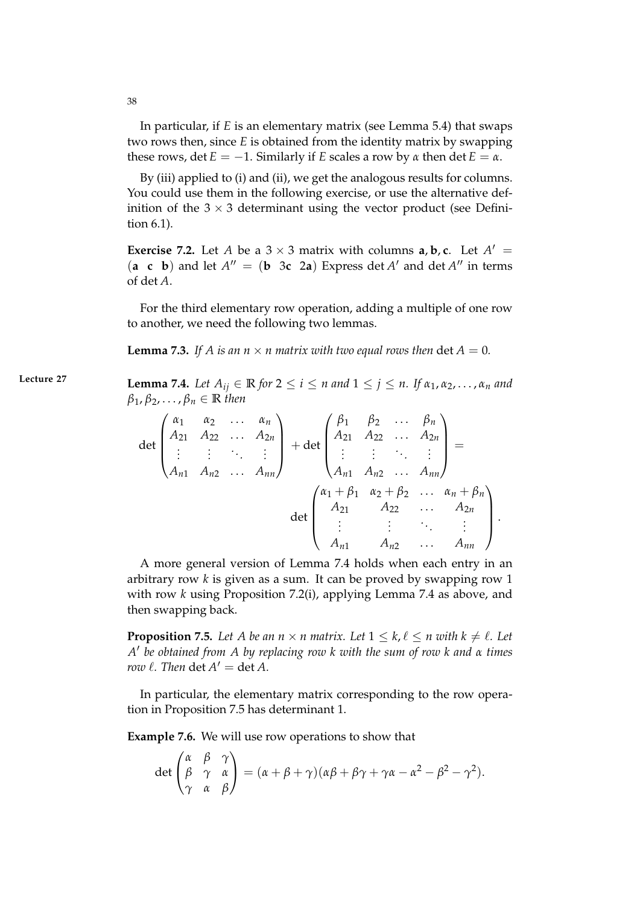In particular, if *E* is an elementary matrix (see Lemma 5.4) that swaps two rows then, since *E* is obtained from the identity matrix by swapping these rows, det  $E = -1$ . Similarly if *E* scales a row by  $\alpha$  then det  $E = \alpha$ .

By (iii) applied to (i) and (ii), we get the analogous results for columns. You could use them in the following exercise, or use the alternative definition of the  $3 \times 3$  determinant using the vector product (see Definition 6.1).

**Exercise 7.2.** Let *A* be a  $3 \times 3$  matrix with columns **a**, **b**, **c**. Let  $A' =$  $(a \ c \ b)$  and let  $A'' = (b \ 3c \ 2a)$  Express det *A'* and det *A''* in terms of det *A*.

For the third elementary row operation, adding a multiple of one row to another, we need the following two lemmas.

**Lemma 7.3.** If A is an  $n \times n$  matrix with two equal rows then det  $A = 0$ .

**Lecture 27 Lemma 7.4.** *Let*  $A_{ij} \in \mathbb{R}$  *for*  $2 \le i \le n$  *and*  $1 \le j \le n$ . *If*  $\alpha_1, \alpha_2, \ldots, \alpha_n$  *and*  $\beta_1, \beta_2, \ldots, \beta_n \in \mathbb{R}$  *then* 

$$
\det \begin{pmatrix} \alpha_1 & \alpha_2 & \dots & \alpha_n \\ A_{21} & A_{22} & \dots & A_{2n} \\ \vdots & \vdots & \ddots & \vdots \\ A_{n1} & A_{n2} & \dots & A_{nn} \end{pmatrix} + \det \begin{pmatrix} \beta_1 & \beta_2 & \dots & \beta_n \\ A_{21} & A_{22} & \dots & A_{2n} \\ \vdots & \vdots & \ddots & \vdots \\ A_{n1} & A_{n2} & \dots & A_{nn} \end{pmatrix} =
$$
  

$$
\det \begin{pmatrix} \alpha_1 + \beta_1 & \alpha_2 + \beta_2 & \dots & \alpha_n + \beta_n \\ A_{21} & A_{22} & \dots & A_{2n} \\ \vdots & \vdots & \ddots & \vdots \\ A_{n1} & A_{n2} & \dots & A_{nn} \end{pmatrix}.
$$

A more general version of Lemma 7.4 holds when each entry in an arbitrary row *k* is given as a sum. It can be proved by swapping row 1 with row *k* using Proposition 7.2(i), applying Lemma 7.4 as above, and then swapping back.

**Proposition 7.5.** Let A be an  $n \times n$  matrix. Let  $1 \leq k, \ell \leq n$  with  $k \neq \ell$ . Let *A* 0 *be obtained from A by replacing row k with the sum of row k and α times row*  $\ell$ *. Then*  $\det A' = \det A$ .

In particular, the elementary matrix corresponding to the row operation in Proposition 7.5 has determinant 1.

**Example 7.6.** We will use row operations to show that

$$
\det \begin{pmatrix} \alpha & \beta & \gamma \\ \beta & \gamma & \alpha \\ \gamma & \alpha & \beta \end{pmatrix} = (\alpha + \beta + \gamma)(\alpha\beta + \beta\gamma + \gamma\alpha - \alpha^2 - \beta^2 - \gamma^2).
$$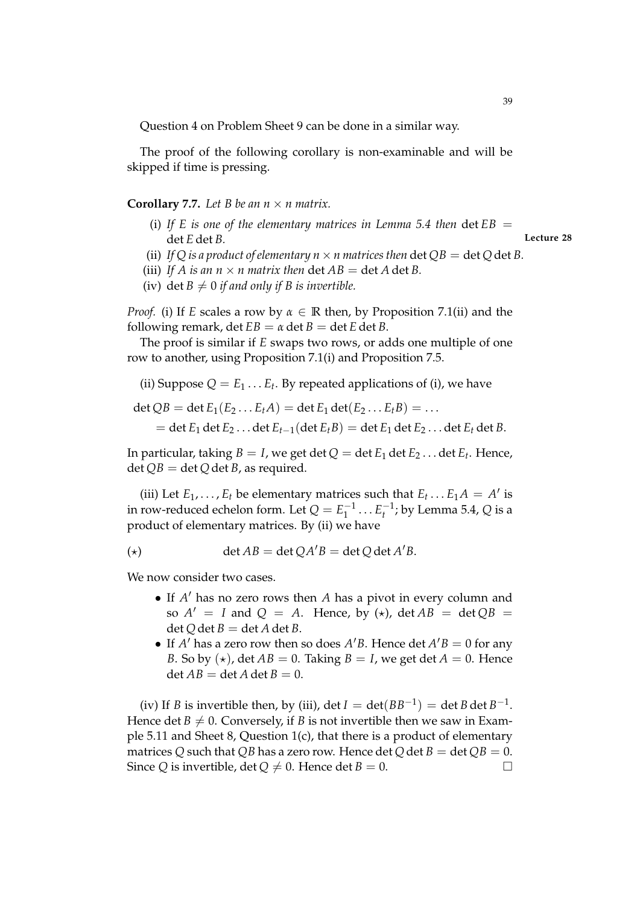Question 4 on Problem Sheet 9 can be done in a similar way.

The proof of the following corollary is non-examinable and will be skipped if time is pressing.

### **Corollary 7.7.** Let B be an  $n \times n$  matrix.

(i) If E is one of the elementary matrices in Lemma 5.4 then  $\det EB =$ det *E* det *B.* **Lecture 28**

- (ii) *If Q is a product of elementary*  $n \times n$  *matrices then* det  $OB = det O$  det *B*.
- (iii) If A is an  $n \times n$  matrix then  $\det AB = \det A \det B$ .
- (iv) det  $B \neq 0$  *if and only if B is invertible.*

*Proof.* (i) If *E* scales a row by *α* ∈ **R** then, by Proposition 7.1(ii) and the following remark, det  $EB = \alpha$  det  $B = \text{det }E$  det  $B$ .

The proof is similar if *E* swaps two rows, or adds one multiple of one row to another, using Proposition 7.1(i) and Proposition 7.5.

(ii) Suppose  $Q = E_1 \dots E_t$ . By repeated applications of (i), we have

 $\det OB = \det E_1(E_2 \dots E_t A) = \det E_1 \det(E_2 \dots E_t B) = \dots$ 

 $=$  det  $E_1$  det  $E_2$ ... det  $E_{t-1}$ (det  $E_t B$ )  $=$  det  $E_1$  det  $E_2$ ... det  $E_t$  det  $B$ .

In particular, taking  $B = I$ , we get  $\det Q = \det E_1 \det E_2 \ldots \det E_t.$  Hence,  $\det QB = \det Q \det B$ , as required.

(iii) Let  $E_1, \ldots, E_t$  be elementary matrices such that  $E_t \ldots E_1 A = A'$  is in row-reduced echelon form. Let  $Q = E_1^{-1} \dots E_t^{-1}$ ; by Lemma 5.4,  $Q$  is a product of elementary matrices. By (ii) we have

$$
(*)\qquad \qquad \det AB = \det QA'B = \det Q \det A'B.
$$

We now consider two cases.

- If  $A'$  has no zero rows then  $A$  has a pivot in every column and so  $A' = I$  and  $Q = A$ . Hence, by  $(\star)$ , det  $AB = \det QB$  $\det Q$  det *B* = det *A* det *B*.
- If *A'* has a zero row then so does *A'B*. Hence det  $A'B = 0$  for any *B*. So by  $(\star)$ , det  $AB = 0$ . Taking  $B = I$ , we get det  $A = 0$ . Hence  $\det AB = \det A \det B = 0.$

(iv) If *B* is invertible then, by (iii), det  $I = det(BB^{-1}) = det B det B^{-1}$ . Hence det  $B \neq 0$ . Conversely, if *B* is not invertible then we saw in Example 5.11 and Sheet 8, Question 1(c), that there is a product of elementary matrices *Q* such that *QB* has a zero row. Hence det *Q* det *B* = det *QB* = 0. Since *Q* is invertible, det  $Q \neq 0$ . Hence det *B* = 0.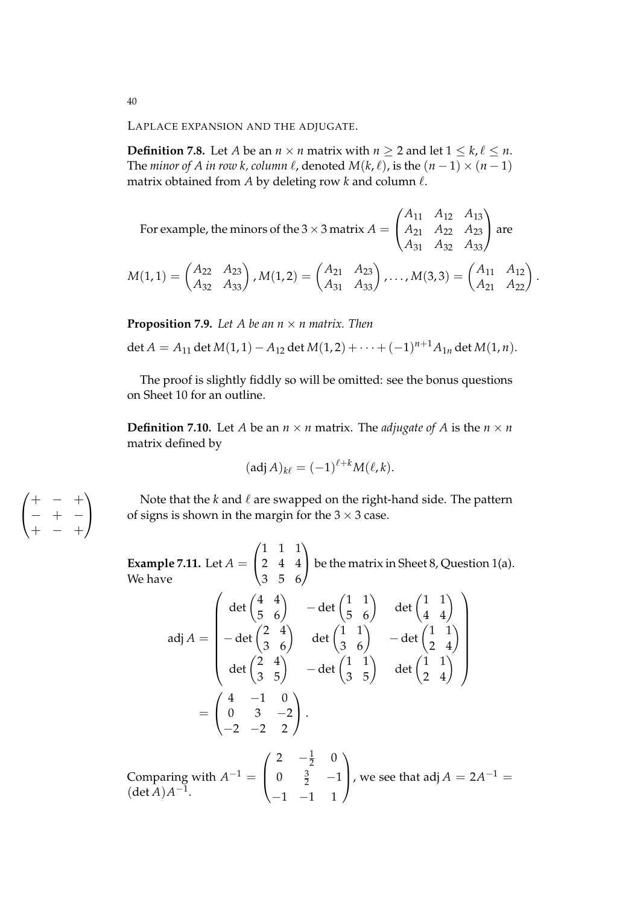LAPLACE EXPANSION AND THE ADJUGATE.

**Definition 7.8.** Let *A* be an  $n \times n$  matrix with  $n \ge 2$  and let  $1 \le k, \ell \le n$ . The *minor of A in row k, column*  $\ell$ *, denoted*  $M(k, \ell)$ *, is the*  $(n - 1) \times (n - 1)$ matrix obtained from  $A$  by deleting row  $k$  and column  $\ell$ .

For example, the minors of the 3  $\times$  3 matrix  $A=$  $\sqrt{ }$  $\overline{1}$ *A*<sup>11</sup> *A*<sup>12</sup> *A*<sup>13</sup> *A*<sup>21</sup> *A*<sup>22</sup> *A*<sup>23</sup> *A*<sup>31</sup> *A*<sup>32</sup> *A*<sup>33</sup>  $\setminus$ are

$$
M(1,1) = \begin{pmatrix} A_{22} & A_{23} \ A_{32} & A_{33} \end{pmatrix}, M(1,2) = \begin{pmatrix} A_{21} & A_{23} \ A_{31} & A_{33} \end{pmatrix}, \dots, M(3,3) = \begin{pmatrix} A_{11} & A_{12} \ A_{21} & A_{22} \end{pmatrix}.
$$

**Proposition 7.9.** Let A be an  $n \times n$  matrix. Then

$$
\det A = A_{11} \det M(1,1) - A_{12} \det M(1,2) + \cdots + (-1)^{n+1} A_{1n} \det M(1,n).
$$

The proof is slightly fiddly so will be omitted: see the bonus questions on Sheet 10 for an outline.

**Definition 7.10.** Let *A* be an  $n \times n$  matrix. The *adjugate of A* is the  $n \times n$ matrix defined by

$$
(\operatorname{adj} A)_{k\ell} = (-1)^{\ell+k} M(\ell,k).
$$

Note that the  $k$  and  $\ell$  are swapped on the right-hand side. The pattern of signs is shown in the margin for the  $3 \times 3$  case.

**Example 7.11.** Let *A* =  $\sqrt{ }$  $\mathbf{I}$ 1 1 1 2 4 4 3 5 6  $\overline{ }$  be the matrix in Sheet 8, Question 1(a). We have

$$
adj A = \begin{pmatrix} det \begin{pmatrix} 4 & 4 \\ 5 & 6 \end{pmatrix} & -det \begin{pmatrix} 1 & 1 \\ 5 & 6 \end{pmatrix} & det \begin{pmatrix} 1 & 1 \\ 4 & 4 \end{pmatrix} \\ -det \begin{pmatrix} 2 & 4 \\ 3 & 6 \end{pmatrix} & det \begin{pmatrix} 1 & 1 \\ 3 & 6 \end{pmatrix} & -det \begin{pmatrix} 1 & 1 \\ 2 & 4 \end{pmatrix} \\ det \begin{pmatrix} 2 & 4 \\ 3 & 5 \end{pmatrix} & -det \begin{pmatrix} 1 & 1 \\ 3 & 5 \end{pmatrix} & det \begin{pmatrix} 1 & 1 \\ 2 & 4 \end{pmatrix} \\ = \begin{pmatrix} 4 & -1 & 0 \\ 0 & 3 & -2 \\ -2 & -2 & 2 \end{pmatrix}.
$$

Comparing with  $A^{-1} =$  $\sqrt{ }$  $\left\lfloor \right\rfloor$ 2  $-\frac{1}{2}$  0 0  $\frac{3}{2}$  -1  $-1$   $-1$  1  $\setminus$ , we see that adj  $A = 2A^{-1} =$  $(\det A)A^{-1}.$ 

 $\sqrt{ }$  $\mathbf{I}$ + − + − + − + − +  $\setminus$  $\overline{1}$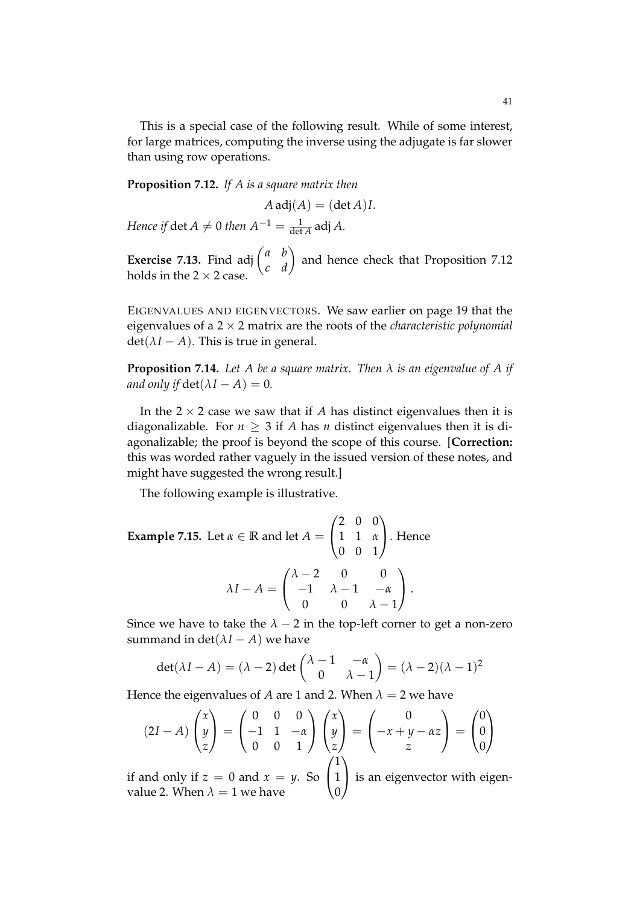This is a special case of the following result. While of some interest, for large matrices, computing the inverse using the adjugate is far slower than using row operations.

**Proposition 7.12.** *If A is a square matrix then*

 $A \text{adj}(A) = (\det A)I$ .

*Hence if*  $\det A \neq 0$  *then*  $A^{-1} = \frac{1}{\det A}$  adj *A*.

**Exercise 7.13.** Find adj  $\begin{pmatrix} a & b \\ c & d \end{pmatrix}$  and hence check that Proposition 7.12 holds in the  $2 \times 2$  case.

EIGENVALUES AND EIGENVECTORS. We saw earlier on page 19 that the eigenvalues of a 2 × 2 matrix are the roots of the *characteristic polynomial*  $det(\lambda I - A)$ . This is true in general.

**Proposition 7.14.** *Let A be a square matrix. Then λ is an eigenvalue of A if and only if*  $\det(\lambda I - A) = 0$ *.* 

In the  $2 \times 2$  case we saw that if *A* has distinct eigenvalues then it is diagonalizable. For  $n \geq 3$  if *A* has *n* distinct eigenvalues then it is diagonalizable; the proof is beyond the scope of this course. [**Correction:** this was worded rather vaguely in the issued version of these notes, and might have suggested the wrong result.]

The following example is illustrative.

Example 7.15. Let 
$$
\alpha \in \mathbb{R}
$$
 and let  $A = \begin{pmatrix} 2 & 0 & 0 \\ 1 & 1 & \alpha \\ 0 & 0 & 1 \end{pmatrix}$ . Hence  
\n
$$
\lambda I - A = \begin{pmatrix} \lambda - 2 & 0 & 0 \\ -1 & \lambda - 1 & -\alpha \\ 0 & 0 & \lambda - 1 \end{pmatrix}.
$$

Since we have to take the  $\lambda - 2$  in the top-left corner to get a non-zero summand in det( $\lambda I - A$ ) we have

$$
\det(\lambda I - A) = (\lambda - 2) \det \begin{pmatrix} \lambda - 1 & -\alpha \\ 0 & \lambda - 1 \end{pmatrix} = (\lambda - 2)(\lambda - 1)^2
$$

Hence the eigenvalues of *A* are 1 and 2. When  $\lambda = 2$  we have

$$
(2I - A)\begin{pmatrix} x \\ y \\ z \end{pmatrix} = \begin{pmatrix} 0 & 0 & 0 \\ -1 & 1 & -\alpha \\ 0 & 0 & 1 \end{pmatrix} \begin{pmatrix} x \\ y \\ z \end{pmatrix} = \begin{pmatrix} 0 \\ -x + y - \alpha z \\ z \end{pmatrix} = \begin{pmatrix} 0 \\ 0 \\ 0 \end{pmatrix}
$$

if and only if  $z = 0$  and  $x = y$ . So  $\begin{bmatrix} 1 \end{bmatrix}$  $\boldsymbol{0}$  is an eigenvector with eigenvalue 2. When  $\lambda=1$  we have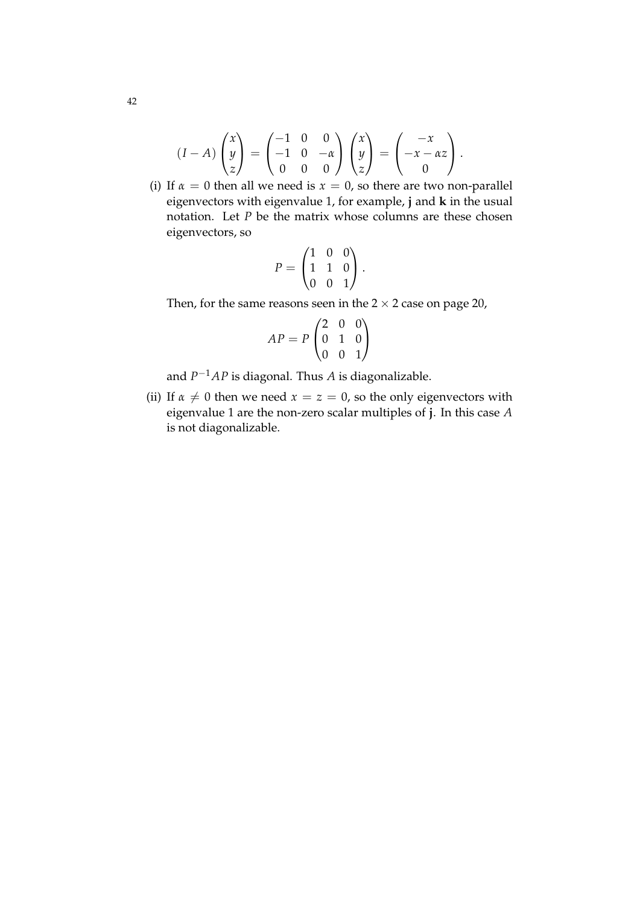$$
(I-A)\begin{pmatrix} x \\ y \\ z \end{pmatrix} = \begin{pmatrix} -1 & 0 & 0 \\ -1 & 0 & -\alpha \\ 0 & 0 & 0 \end{pmatrix} \begin{pmatrix} x \\ y \\ z \end{pmatrix} = \begin{pmatrix} -x \\ -x - \alpha z \\ 0 \end{pmatrix}.
$$

(i) If  $\alpha = 0$  then all we need is  $x = 0$ , so there are two non-parallel eigenvectors with eigenvalue 1, for example, **j** and **k** in the usual notation. Let *P* be the matrix whose columns are these chosen eigenvectors, so

$$
P = \begin{pmatrix} 1 & 0 & 0 \\ 1 & 1 & 0 \\ 0 & 0 & 1 \end{pmatrix}.
$$

Then, for the same reasons seen in the  $2 \times 2$  case on page 20,

$$
AP = P \begin{pmatrix} 2 & 0 & 0 \\ 0 & 1 & 0 \\ 0 & 0 & 1 \end{pmatrix}
$$

and *P* <sup>−</sup>1*AP* is diagonal. Thus *A* is diagonalizable.

(ii) If  $\alpha \neq 0$  then we need  $x = z = 0$ , so the only eigenvectors with eigenvalue 1 are the non-zero scalar multiples of **j**. In this case *A* is not diagonalizable.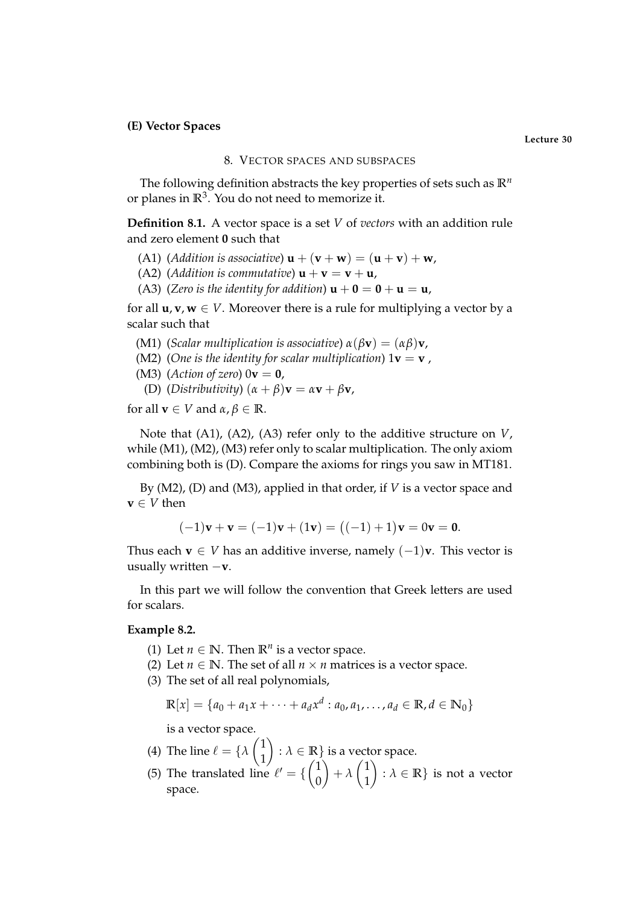### **(E) Vector Spaces**

### 8. VECTOR SPACES AND SUBSPACES

The following definition abstracts the key properties of sets such as  $\mathbb{R}^n$ or planes in  $\mathbb{R}^3$ . You do not need to memorize it.

**Definition 8.1.** A vector space is a set *V* of *vectors* with an addition rule and zero element **0** such that

- (A1) (*Addition is associative*)  $\mathbf{u} + (\mathbf{v} + \mathbf{w}) = (\mathbf{u} + \mathbf{v}) + \mathbf{w}$ ,
- (A2) (*Addition is commutative*)  $\mathbf{u} + \mathbf{v} = \mathbf{v} + \mathbf{u}$ ,
- (A3) (*Zero is the identity for addition*)  $\mathbf{u} + \mathbf{0} = \mathbf{0} + \mathbf{u} = \mathbf{u}$ ,

for all  $\mathbf{u}, \mathbf{v}, \mathbf{w} \in V$ . Moreover there is a rule for multiplying a vector by a scalar such that

- (M1) (*Scalar multiplication is associative*) *α*(*β***v**) = (*αβ*)**v**,
- (M2) (*One is the identity for scalar multiplication*)  $1\mathbf{v} = \mathbf{v}$ ,
- (M3) (*Action of zero*)  $0$ **v** = **0**,
- (D) (*Distributivity*)  $(\alpha + \beta)\mathbf{v} = \alpha\mathbf{v} + \beta\mathbf{v}$ ,

for all  $\mathbf{v} \in V$  and  $\alpha, \beta \in \mathbb{R}$ .

Note that (A1), (A2), (A3) refer only to the additive structure on *V*, while (M1), (M2), (M3) refer only to scalar multiplication. The only axiom combining both is (D). Compare the axioms for rings you saw in MT181.

By (M2), (D) and (M3), applied in that order, if *V* is a vector space and  $\mathbf{v} \in V$  then

$$
(-1)\mathbf{v} + \mathbf{v} = (-1)\mathbf{v} + (1\mathbf{v}) = ((-1) + 1)\mathbf{v} = 0\mathbf{v} = \mathbf{0}.
$$

Thus each **v** ∈ *V* has an additive inverse, namely  $(-1)$ **v**. This vector is usually written −**v**.

In this part we will follow the convention that Greek letters are used for scalars.

### **Example 8.2.**

- (1) Let  $n \in \mathbb{N}$ . Then  $\mathbb{R}^n$  is a vector space.
- (2) Let  $n \in \mathbb{N}$ . The set of all  $n \times n$  matrices is a vector space.
- (3) The set of all real polynomials,

$$
\mathbb{R}[x] = \{a_0 + a_1x + \dots + a_dx^d : a_0, a_1, \dots, a_d \in \mathbb{R}, d \in \mathbb{N}_0\}
$$

is a vector space.

- (4) The line  $\ell = {\lambda}$  $(1)$ 1  $\setminus$ :  $\lambda \in \mathbb{R}$  is a vector space.  $(1)$ )  $(1)$  $\setminus$
- (5) The translated line  $\ell' = \{$ 0  $+ \lambda$ 1 :  $\lambda \in \mathbb{R}$  is not a vector space.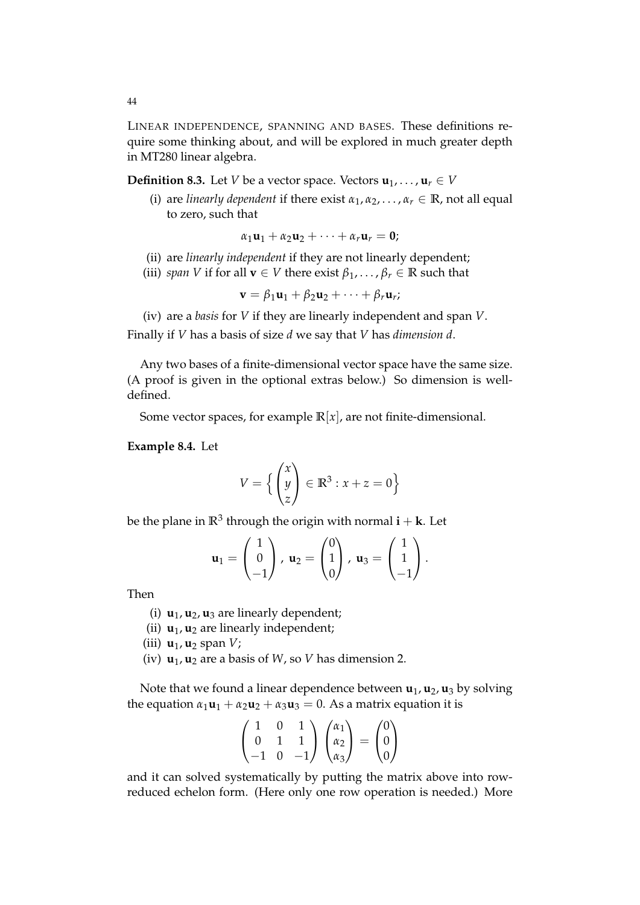LINEAR INDEPENDENCE, SPANNING AND BASES. These definitions require some thinking about, and will be explored in much greater depth in MT280 linear algebra.

**Definition 8.3.** Let *V* be a vector space. Vectors  $\mathbf{u}_1, \dots, \mathbf{u}_r \in V$ 

(i) are *linearly dependent* if there exist  $\alpha_1, \alpha_2, \ldots, \alpha_r \in \mathbb{R}$ , not all equal to zero, such that

$$
\alpha_1\mathbf{u}_1+\alpha_2\mathbf{u}_2+\cdots+\alpha_r\mathbf{u}_r=\mathbf{0};
$$

- (ii) are *linearly independent* if they are not linearly dependent;
- (iii) *span V* if for all  $\mathbf{v} \in V$  there exist  $\beta_1, \ldots, \beta_r \in \mathbb{R}$  such that

$$
\mathbf{v} = \beta_1 \mathbf{u}_1 + \beta_2 \mathbf{u}_2 + \cdots + \beta_r \mathbf{u}_r;
$$

(iv) are a *basis* for *V* if they are linearly independent and span *V*. Finally if *V* has a basis of size *d* we say that *V* has *dimension d*.

Any two bases of a finite-dimensional vector space have the same size. (A proof is given in the optional extras below.) So dimension is welldefined.

Some vector spaces, for example  $\mathbb{R}[x]$ , are not finite-dimensional.

#### **Example 8.4.** Let

$$
V = \left\{ \begin{pmatrix} x \\ y \\ z \end{pmatrix} \in \mathbb{R}^3 : x + z = 0 \right\}
$$

be the plane in  $\mathbb{R}^3$  through the origin with normal  $\mathbf{i} + \mathbf{k}$ . Let

$$
\mathbf{u}_1 = \begin{pmatrix} 1 \\ 0 \\ -1 \end{pmatrix}, \mathbf{u}_2 = \begin{pmatrix} 0 \\ 1 \\ 0 \end{pmatrix}, \mathbf{u}_3 = \begin{pmatrix} 1 \\ 1 \\ -1 \end{pmatrix}.
$$

Then

- (i)  $\mathbf{u}_1, \mathbf{u}_2, \mathbf{u}_3$  are linearly dependent;
- (ii)  $\mathbf{u}_1$ ,  $\mathbf{u}_2$  are linearly independent;
- (iii) **u**1, **u**<sup>2</sup> span *V*;
- (iv)  $\mathbf{u}_1, \mathbf{u}_2$  are a basis of *W*, so *V* has dimension 2.

Note that we found a linear dependence between  $\mathbf{u}_1$ ,  $\mathbf{u}_2$ ,  $\mathbf{u}_3$  by solving the equation  $\alpha_1 \mathbf{u}_1 + \alpha_2 \mathbf{u}_2 + \alpha_3 \mathbf{u}_3 = 0$ . As a matrix equation it is

$$
\begin{pmatrix} 1 & 0 & 1 \\ 0 & 1 & 1 \\ -1 & 0 & -1 \end{pmatrix} \begin{pmatrix} \alpha_1 \\ \alpha_2 \\ \alpha_3 \end{pmatrix} = \begin{pmatrix} 0 \\ 0 \\ 0 \end{pmatrix}
$$

and it can solved systematically by putting the matrix above into rowreduced echelon form. (Here only one row operation is needed.) More

44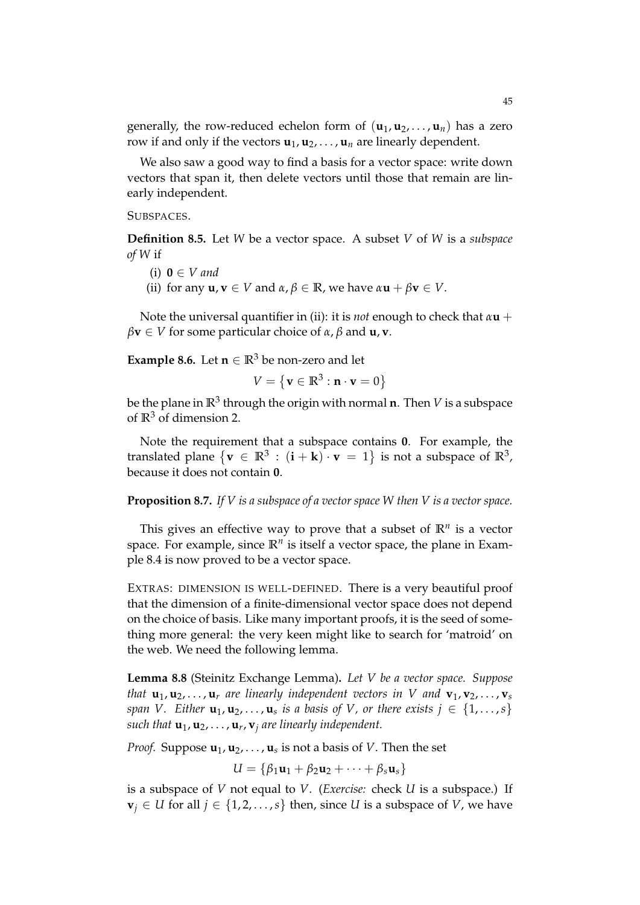generally, the row-reduced echelon form of  $(\mathbf{u}_1, \mathbf{u}_2, \dots, \mathbf{u}_n)$  has a zero row if and only if the vectors  $\mathbf{u}_1, \mathbf{u}_2, \dots, \mathbf{u}_n$  are linearly dependent.

We also saw a good way to find a basis for a vector space: write down vectors that span it, then delete vectors until those that remain are linearly independent.

### SUBSPACES.

**Definition 8.5.** Let *W* be a vector space. A subset *V* of *W* is a *subspace of W* if

- (i)  $0 \in V$  and
- (ii) for any  $\mathbf{u}, \mathbf{v} \in V$  and  $\alpha, \beta \in \mathbb{R}$ , we have  $\alpha \mathbf{u} + \beta \mathbf{v} \in V$ .

Note the universal quantifier in (ii): it is *not* enough to check that *α***u** +  $\beta$ **v**  $\in$  *V* for some particular choice of  $\alpha$ ,  $\beta$  and **u**, **v**.

**Example 8.6.** Let  $n \in \mathbb{R}^3$  be non-zero and let

$$
V = \{ \mathbf{v} \in \mathbb{R}^3 : \mathbf{n} \cdot \mathbf{v} = 0 \}
$$

be the plane in  $\mathbb{R}^3$  through the origin with normal **n**. Then  $V$  is a subspace of **R**<sup>3</sup> of dimension 2.

Note the requirement that a subspace contains **0**. For example, the translated plane  $\{v \in \mathbb{R}^3 : (i + k) \cdot v = 1\}$  is not a subspace of  $\mathbb{R}^3$ , because it does not contain **0**.

### **Proposition 8.7.** *If V is a subspace of a vector space W then V is a vector space.*

This gives an effective way to prove that a subset of  $\mathbb{R}^n$  is a vector space. For example, since  $\mathbb{R}^n$  is itself a vector space, the plane in Example 8.4 is now proved to be a vector space.

EXTRAS: DIMENSION IS WELL-DEFINED. There is a very beautiful proof that the dimension of a finite-dimensional vector space does not depend on the choice of basis. Like many important proofs, it is the seed of something more general: the very keen might like to search for 'matroid' on the web. We need the following lemma.

**Lemma 8.8** (Steinitz Exchange Lemma)**.** *Let V be a vector space. Suppose that*  $\mathbf{u}_1, \mathbf{u}_2, \ldots, \mathbf{u}_r$  *are linearly independent vectors in V and*  $\mathbf{v}_1, \mathbf{v}_2, \ldots, \mathbf{v}_s$ *span V.* Either  $\mathbf{u}_1, \mathbf{u}_2, \ldots, \mathbf{u}_s$  is a basis of V, or there exists  $j \in \{1, \ldots, s\}$ *such that* **u**1, **u**2, . . . , **u***<sup>r</sup>* , **v***<sup>j</sup> are linearly independent.*

*Proof.* Suppose  $\textbf{u}_1, \textbf{u}_2, \ldots, \textbf{u}_s$  is not a basis of  $V.$  Then the set

$$
U = \{\beta_1\mathbf{u}_1 + \beta_2\mathbf{u}_2 + \cdots + \beta_s\mathbf{u}_s\}
$$

is a subspace of *V* not equal to *V*. (*Exercise:* check *U* is a subspace.) If  $$